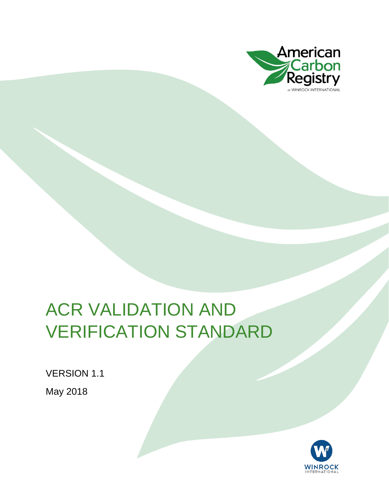

### ACR VALIDATION AND VERIFICATION STANDARD

VERSION 1.1

May 2018

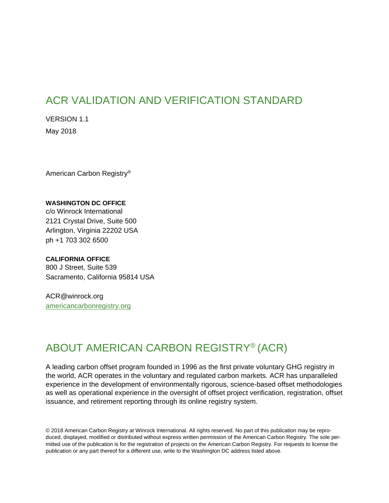#### ACR VALIDATION AND VERIFICATION STANDARD

VERSION 1.1 May 2018

American Carbon Registry®

#### **WASHINGTON DC OFFICE**

c/o Winrock International 2121 Crystal Drive, Suite 500 Arlington, Virginia 22202 USA ph +1 703 302 6500

#### **CALIFORNIA OFFICE**

800 J Street, Suite 539 Sacramento, California 95814 USA

ACR@winrock.org [americancarbonregistry.org](http://americancarbonregistry.org/)

#### ABOUT AMERICAN CARBON REGISTRY® (ACR)

A leading carbon offset program founded in 1996 as the first private voluntary GHG registry in the world, ACR operates in the voluntary and regulated carbon markets. ACR has unparalleled experience in the development of environmentally rigorous, science-based offset methodologies as well as operational experience in the oversight of offset project verification, registration, offset issuance, and retirement reporting through its online registry system.

© 2018 American Carbon Registry at Winrock International. All rights reserved. No part of this publication may be reproduced, displayed, modified or distributed without express written permission of the American Carbon Registry. The sole permitted use of the publication is for the registration of projects on the American Carbon Registry. For requests to license the publication or any part thereof for a different use, write to the Washington DC address listed above.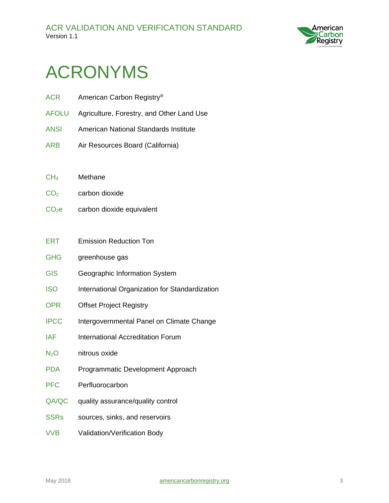

### <span id="page-2-0"></span>ACRONYMS

- ACR American Carbon Registry® AFOLU Agriculture, Forestry, and Other Land Use ANSI American National Standards Institute ARB Air Resources Board (California) CH<sup>4</sup> Methane  $CO<sub>2</sub>$  carbon dioxide CO<sub>2</sub>e carbon dioxide equivalent ERT Emission Reduction Ton GHG greenhouse gas
- GIS Geographic Information System
- ISO International Organization for Standardization
- OPR Offset Project Registry
- IPCC Intergovernmental Panel on Climate Change
- IAF International Accreditation Forum
- $N_2$ O nitrous oxide
- PDA Programmatic Development Approach
- PFC Perfluorocarbon
- QA/QC quality assurance/quality control
- SSRs sources, sinks, and reservoirs
- VVB Validation/Verification Body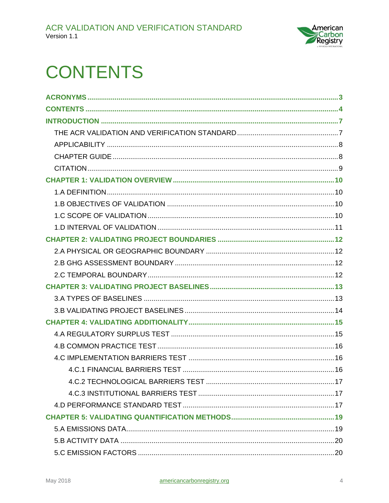

### <span id="page-3-0"></span>**CONTENTS**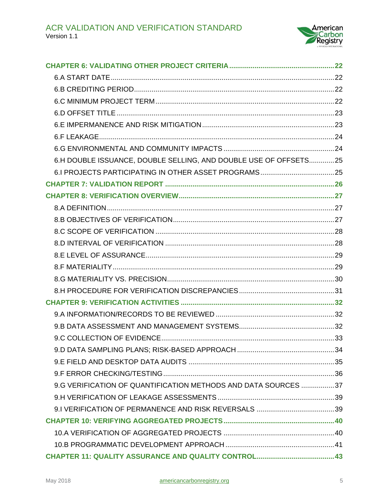

| 6.H DOUBLE ISSUANCE, DOUBLE SELLING, AND DOUBLE USE OF OFFSETS25 |  |
|------------------------------------------------------------------|--|
|                                                                  |  |
|                                                                  |  |
|                                                                  |  |
|                                                                  |  |
|                                                                  |  |
|                                                                  |  |
|                                                                  |  |
|                                                                  |  |
|                                                                  |  |
|                                                                  |  |
|                                                                  |  |
|                                                                  |  |
|                                                                  |  |
|                                                                  |  |
|                                                                  |  |
|                                                                  |  |
|                                                                  |  |
|                                                                  |  |
| 9.G VERIFICATION OF QUANTIFICATION METHODS AND DATA SOURCES 37   |  |
|                                                                  |  |
|                                                                  |  |
|                                                                  |  |
|                                                                  |  |
|                                                                  |  |
|                                                                  |  |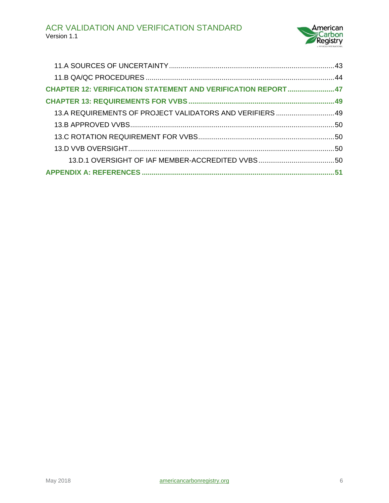

| <b>CHAPTER 12: VERIFICATION STATEMENT AND VERIFICATION REPORT  47</b> |  |
|-----------------------------------------------------------------------|--|
|                                                                       |  |
| 13.A REQUIREMENTS OF PROJECT VALIDATORS AND VERIFIERS  49             |  |
|                                                                       |  |
|                                                                       |  |
|                                                                       |  |
|                                                                       |  |
|                                                                       |  |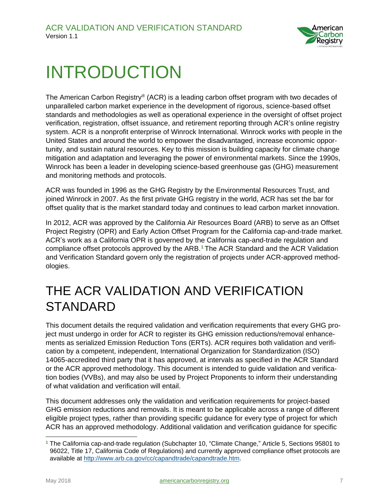

### <span id="page-6-0"></span>INTRODUCTION

The American Carbon Registry® (ACR) is a leading carbon offset program with two decades of unparalleled carbon market experience in the development of rigorous, science-based offset standards and methodologies as well as operational experience in the oversight of offset project verification, registration, offset issuance, and retirement reporting through ACR's online registry system. ACR is a nonprofit enterprise of Winrock International. Winrock works with people in the United States and around the world to empower the disadvantaged, increase economic opportunity, and sustain natural resources. Key to this mission is building capacity for climate change mitigation and adaptation and leveraging the power of environmental markets. Since the 1990s, Winrock has been a leader in developing science-based greenhouse gas (GHG) measurement and monitoring methods and protocols.

ACR was founded in 1996 as the GHG Registry by the Environmental Resources Trust, and joined Winrock in 2007. As the first private GHG registry in the world, ACR has set the bar for offset quality that is the market standard today and continues to lead carbon market innovation.

In 2012, ACR was approved by the California Air Resources Board (ARB) to serve as an Offset Project Registry (OPR) and Early Action Offset Program for the California cap-and-trade market. ACR's work as a California OPR is governed by the California cap-and-trade regulation and compliance offset protocols approved by the ARB.<sup>1</sup> The ACR Standard and the ACR Validation and Verification Standard govern only the registration of projects under ACR-approved methodologies.

#### <span id="page-6-1"></span>THE ACR VALIDATION AND VERIFICATION STANDARD

This document details the required validation and verification requirements that every GHG project must undergo in order for ACR to register its GHG emission reductions/removal enhancements as serialized Emission Reduction Tons (ERTs). ACR requires both validation and verification by a competent, independent, International Organization for Standardization (ISO) 14065-accredited third party that it has approved, at intervals as specified in the ACR Standard or the ACR approved methodology. This document is intended to guide validation and verification bodies (VVBs), and may also be used by Project Proponents to inform their understanding of what validation and verification will entail.

This document addresses only the validation and verification requirements for project-based GHG emission reductions and removals. It is meant to be applicable across a range of different eligible project types, rather than providing specific guidance for every type of project for which ACR has an approved methodology. Additional validation and verification guidance for specific

 **<sup>1</sup>** The California cap-and-trade regulation (Subchapter 10, "Climate Change," Article 5, Sections 95801 to 96022, Title 17, California Code of Regulations) and currently approved compliance offset protocols are available at [http://www.arb.ca.gov/cc/capandtrade/capandtrade.htm.](http://www.arb.ca.gov/cc/capandtrade/capandtrade.htm)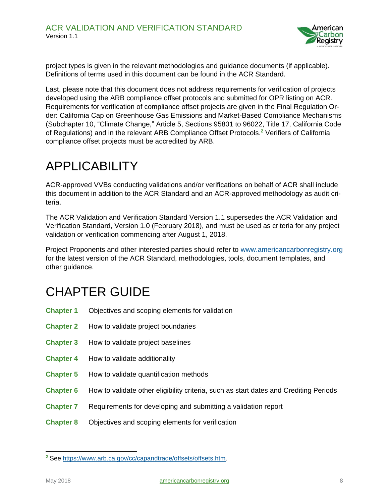

project types is given in the relevant methodologies and guidance documents (if applicable). Definitions of terms used in this document can be found in the ACR Standard.

Last, please note that this document does not address requirements for verification of projects developed using the ARB compliance offset protocols and submitted for OPR listing on ACR. Requirements for verification of compliance offset projects are given in the Final Regulation Order: California Cap on Greenhouse Gas Emissions and Market-Based Compliance Mechanisms (Subchapter 10, "Climate Change," Article 5, Sections 95801 to 96022, Title 17, California Code of Regulations) and in the relevant ARB Compliance Offset Protocols.**<sup>2</sup>** Verifiers of California compliance offset projects must be accredited by ARB.

#### <span id="page-7-0"></span>APPLICABILITY

ACR-approved VVBs conducting validations and/or verifications on behalf of ACR shall include this document in addition to the ACR Standard and an ACR-approved methodology as audit criteria.

The ACR Validation and Verification Standard Version 1.1 supersedes the ACR Validation and Verification Standard, Version 1.0 (February 2018), and must be used as criteria for any project validation or verification commencing after August 1, 2018.

Project Proponents and other interested parties should refer to [www.americancarbonregistry.org](http://www.americancarbonregistry.org/) for the latest version of the ACR Standard, methodologies, tools, document templates, and other guidance.

#### <span id="page-7-1"></span>CHAPTER GUIDE

- **Chapter 1** Objectives and scoping elements for validation
- **Chapter 2** How to validate project boundaries
- **Chapter 3** How to validate project baselines
- **Chapter 4** How to validate additionality
- **Chapter 5** How to validate quantification methods
- **Chapter 6** How to validate other eligibility criteria, such as start dates and Crediting Periods
- **Chapter 7** Requirements for developing and submitting a validation report
- **Chapter 8** Objectives and scoping elements for verification

 $\overline{a}$ 

**<sup>2</sup>** See [https://www.arb.ca.gov/cc/capandtrade/offsets/offsets.htm.](https://www.arb.ca.gov/cc/capandtrade/offsets/offsets.htm)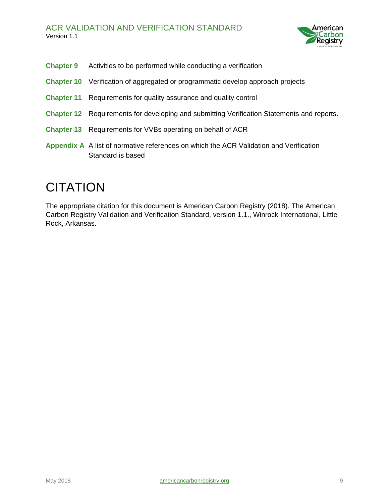

- **Chapter 9** Activities to be performed while conducting a verification
- **Chapter 10** Verification of aggregated or programmatic develop approach projects
- **Chapter 11** Requirements for quality assurance and quality control
- **Chapter 12** Requirements for developing and submitting Verification Statements and reports.
- **Chapter 13** Requirements for VVBs operating on behalf of ACR
- **Appendix A** A list of normative references on which the ACR Validation and Verification Standard is based

#### <span id="page-8-0"></span>**CITATION**

The appropriate citation for this document is American Carbon Registry (2018). The American Carbon Registry Validation and Verification Standard, version 1.1., Winrock International, Little Rock, Arkansas.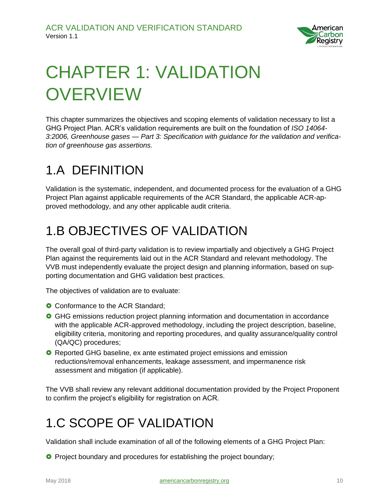

# <span id="page-9-0"></span>CHAPTER 1: VALIDATION **OVERVIEW**

This chapter summarizes the objectives and scoping elements of validation necessary to list a GHG Project Plan. ACR's validation requirements are built on the foundation of *ISO 14064- 3:2006, Greenhouse gases — Part 3: Specification with guidance for the validation and verification of greenhouse gas assertions.*

#### <span id="page-9-1"></span>1.A DEFINITION

Validation is the systematic, independent, and documented process for the evaluation of a GHG Project Plan against applicable requirements of the ACR Standard, the applicable ACR-approved methodology, and any other applicable audit criteria.

### <span id="page-9-2"></span>1.B OBJECTIVES OF VALIDATION

The overall goal of third-party validation is to review impartially and objectively a GHG Project Plan against the requirements laid out in the ACR Standard and relevant methodology. The VVB must independently evaluate the project design and planning information, based on supporting documentation and GHG validation best practices.

The objectives of validation are to evaluate:

- **O** Conformance to the ACR Standard;
- GHG emissions reduction project planning information and documentation in accordance with the applicable ACR-approved methodology, including the project description, baseline, eligibility criteria, monitoring and reporting procedures, and quality assurance/quality control (QA/QC) procedures;
- **O** Reported GHG baseline, ex ante estimated project emissions and emission reductions/removal enhancements, leakage assessment, and impermanence risk assessment and mitigation (if applicable).

The VVB shall review any relevant additional documentation provided by the Project Proponent to confirm the project's eligibility for registration on ACR.

### <span id="page-9-3"></span>1.C SCOPE OF VALIDATION

Validation shall include examination of all of the following elements of a GHG Project Plan:

**P** Project boundary and procedures for establishing the project boundary;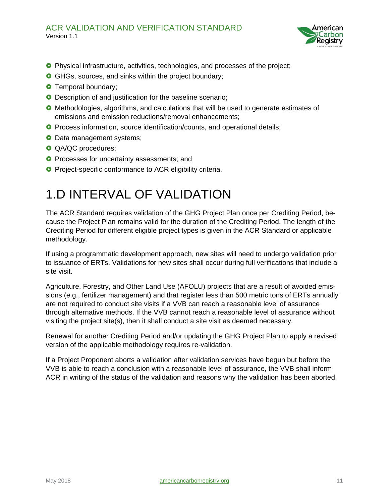#### ACR VALIDATION AND VERIFICATION STANDARD Version 1.1



- **O** Physical infrastructure, activities, technologies, and processes of the project;
- **GHGs, sources, and sinks within the project boundary;**
- **O** Temporal boundary;
- **O** Description of and justification for the baseline scenario;
- **O** Methodologies, algorithms, and calculations that will be used to generate estimates of emissions and emission reductions/removal enhancements;
- **O** Process information, source identification/counts, and operational details;
- **O** Data management systems;
- **O** QA/QC procedures;
- **O** Processes for uncertainty assessments; and
- <span id="page-10-0"></span>**O** Project-specific conformance to ACR eligibility criteria.

#### 1.D INTERVAL OF VALIDATION

The ACR Standard requires validation of the GHG Project Plan once per Crediting Period, because the Project Plan remains valid for the duration of the Crediting Period. The length of the Crediting Period for different eligible project types is given in the ACR Standard or applicable methodology.

If using a programmatic development approach, new sites will need to undergo validation prior to issuance of ERTs. Validations for new sites shall occur during full verifications that include a site visit.

Agriculture, Forestry, and Other Land Use (AFOLU) projects that are a result of avoided emissions (e.g., fertilizer management) and that register less than 500 metric tons of ERTs annually are not required to conduct site visits if a VVB can reach a reasonable level of assurance through alternative methods. If the VVB cannot reach a reasonable level of assurance without visiting the project site(s), then it shall conduct a site visit as deemed necessary.

Renewal for another Crediting Period and/or updating the GHG Project Plan to apply a revised version of the applicable methodology requires re-validation.

If a Project Proponent aborts a validation after validation services have begun but before the VVB is able to reach a conclusion with a reasonable level of assurance, the VVB shall inform ACR in writing of the status of the validation and reasons why the validation has been aborted.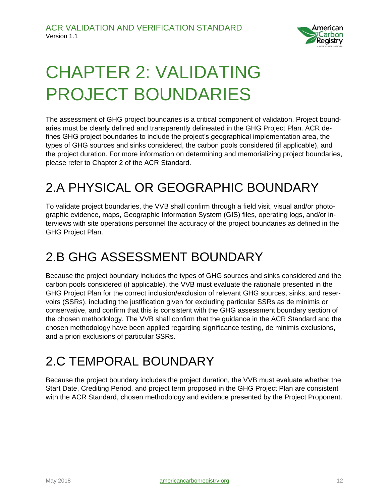

# <span id="page-11-0"></span>CHAPTER 2: VALIDATING PROJECT BOUNDARIES

The assessment of GHG project boundaries is a critical component of validation. Project boundaries must be clearly defined and transparently delineated in the GHG Project Plan. ACR defines GHG project boundaries to include the project's geographical implementation area, the types of GHG sources and sinks considered, the carbon pools considered (if applicable), and the project duration. For more information on determining and memorializing project boundaries, please refer to Chapter 2 of the ACR Standard.

#### <span id="page-11-1"></span>2.A PHYSICAL OR GEOGRAPHIC BOUNDARY

To validate project boundaries, the VVB shall confirm through a field visit, visual and/or photographic evidence, maps, Geographic Information System (GIS) files, operating logs, and/or interviews with site operations personnel the accuracy of the project boundaries as defined in the GHG Project Plan.

#### <span id="page-11-2"></span>2.B GHG ASSESSMENT BOUNDARY

Because the project boundary includes the types of GHG sources and sinks considered and the carbon pools considered (if applicable), the VVB must evaluate the rationale presented in the GHG Project Plan for the correct inclusion/exclusion of relevant GHG sources, sinks, and reservoirs (SSRs), including the justification given for excluding particular SSRs as de minimis or conservative, and confirm that this is consistent with the GHG assessment boundary section of the chosen methodology. The VVB shall confirm that the guidance in the ACR Standard and the chosen methodology have been applied regarding significance testing, de minimis exclusions, and a priori exclusions of particular SSRs.

### <span id="page-11-3"></span>2.C TEMPORAL BOUNDARY

Because the project boundary includes the project duration, the VVB must evaluate whether the Start Date, Crediting Period, and project term proposed in the GHG Project Plan are consistent with the ACR Standard, chosen methodology and evidence presented by the Project Proponent.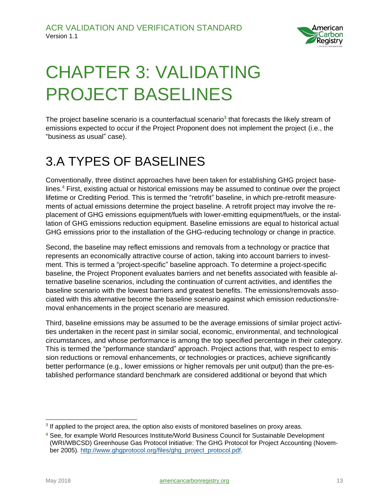

# <span id="page-12-0"></span>CHAPTER 3: VALIDATING PROJECT BASELINES

The project baseline scenario is a counterfactual scenario**<sup>3</sup>** that forecasts the likely stream of emissions expected to occur if the Project Proponent does not implement the project (i.e., the "business as usual" case).

### <span id="page-12-1"></span>3.A TYPES OF BASELINES

Conventionally, three distinct approaches have been taken for establishing GHG project baselines.**<sup>4</sup>** First, existing actual or historical emissions may be assumed to continue over the project lifetime or Crediting Period. This is termed the "retrofit" baseline, in which pre-retrofit measurements of actual emissions determine the project baseline. A retrofit project may involve the replacement of GHG emissions equipment/fuels with lower-emitting equipment/fuels, or the installation of GHG emissions reduction equipment. Baseline emissions are equal to historical actual GHG emissions prior to the installation of the GHG-reducing technology or change in practice.

Second, the baseline may reflect emissions and removals from a technology or practice that represents an economically attractive course of action, taking into account barriers to investment. This is termed a "project-specific" baseline approach. To determine a project-specific baseline, the Project Proponent evaluates barriers and net benefits associated with feasible alternative baseline scenarios, including the continuation of current activities, and identifies the baseline scenario with the lowest barriers and greatest benefits. The emissions/removals associated with this alternative become the baseline scenario against which emission reductions/removal enhancements in the project scenario are measured.

Third, baseline emissions may be assumed to be the average emissions of similar project activities undertaken in the recent past in similar social, economic, environmental, and technological circumstances, and whose performance is among the top specified percentage in their category. This is termed the "performance standard" approach. Project actions that, with respect to emission reductions or removal enhancements, or technologies or practices, achieve significantly better performance (e.g., lower emissions or higher removals per unit output) than the pre-established performance standard benchmark are considered additional or beyond that which

 $\overline{a}$ 

<sup>&</sup>lt;sup>3</sup> If applied to the project area, the option also exists of monitored baselines on proxy areas.

**<sup>4</sup>** See, for example World Resources Institute/World Business Council for Sustainable Development (WRI/WBCSD) Greenhouse Gas Protocol Initiative: The GHG Protocol for Project Accounting (November 2005). [http://www.ghgprotocol.org/files/ghg\\_project\\_protocol.pdf.](http://www.ghgprotocol.org/files/ghg_project_protocol.pdf)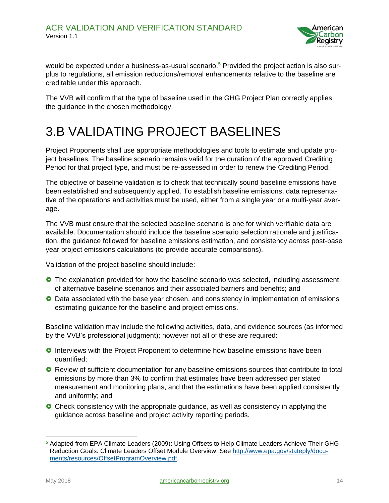

would be expected under a business-as-usual scenario.**<sup>5</sup>** Provided the project action is also surplus to regulations, all emission reductions/removal enhancements relative to the baseline are creditable under this approach.

The VVB will confirm that the type of baseline used in the GHG Project Plan correctly applies the guidance in the chosen methodology.

#### <span id="page-13-0"></span>3.B VALIDATING PROJECT BASELINES

Project Proponents shall use appropriate methodologies and tools to estimate and update project baselines. The baseline scenario remains valid for the duration of the approved Crediting Period for that project type, and must be re-assessed in order to renew the Crediting Period.

The objective of baseline validation is to check that technically sound baseline emissions have been established and subsequently applied. To establish baseline emissions, data representative of the operations and activities must be used, either from a single year or a multi-year average.

The VVB must ensure that the selected baseline scenario is one for which verifiable data are available. Documentation should include the baseline scenario selection rationale and justification, the guidance followed for baseline emissions estimation, and consistency across post-base year project emissions calculations (to provide accurate comparisons).

Validation of the project baseline should include:

- **O** The explanation provided for how the baseline scenario was selected, including assessment of alternative baseline scenarios and their associated barriers and benefits; and
- **O** Data associated with the base year chosen, and consistency in implementation of emissions estimating guidance for the baseline and project emissions.

Baseline validation may include the following activities, data, and evidence sources (as informed by the VVB's professional judgment); however not all of these are required:

- **O** Interviews with the Project Proponent to determine how baseline emissions have been quantified;
- **O** Review of sufficient documentation for any baseline emissions sources that contribute to total emissions by more than 3% to confirm that estimates have been addressed per stated measurement and monitoring plans, and that the estimations have been applied consistently and uniformly; and
- Check consistency with the appropriate guidance, as well as consistency in applying the guidance across baseline and project activity reporting periods.

**<sup>5</sup>** Adapted from EPA Climate Leaders (2009): Using Offsets to Help Climate Leaders Achieve Their GHG Reduction Goals: Climate Leaders Offset Module Overview. See [http://www.epa.gov/stateply/docu](http://www.epa.gov/stateply/documents/resources/OffsetProgramOverview.pdf)[ments/resources/OffsetProgramOverview.pdf.](http://www.epa.gov/stateply/documents/resources/OffsetProgramOverview.pdf)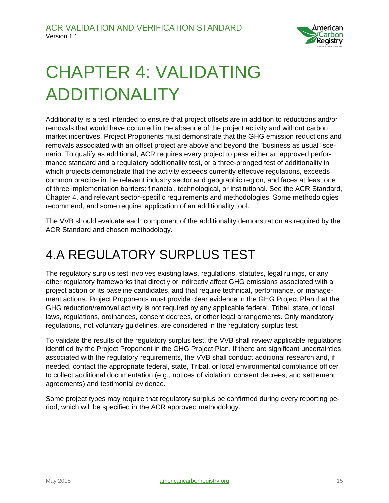

# <span id="page-14-0"></span>CHAPTER 4: VALIDATING ADDITIONALITY

Additionality is a test intended to ensure that project offsets are in addition to reductions and/or removals that would have occurred in the absence of the project activity and without carbon market incentives. Project Proponents must demonstrate that the GHG emission reductions and removals associated with an offset project are above and beyond the "business as usual" scenario. To qualify as additional, ACR requires every project to pass either an approved performance standard and a regulatory additionality test, or a three-pronged test of additionality in which projects demonstrate that the activity exceeds currently effective regulations, exceeds common practice in the relevant industry sector and geographic region, and faces at least one of three implementation barriers: financial, technological, or institutional. See the ACR Standard, Chapter 4, and relevant sector-specific requirements and methodologies. Some methodologies recommend, and some require, application of an additionality tool.

The VVB should evaluate each component of the additionality demonstration as required by the ACR Standard and chosen methodology.

### <span id="page-14-1"></span>4.A REGULATORY SURPLUS TEST

The regulatory surplus test involves existing laws, regulations, statutes, legal rulings, or any other regulatory frameworks that directly or indirectly affect GHG emissions associated with a project action or its baseline candidates, and that require technical, performance, or management actions. Project Proponents must provide clear evidence in the GHG Project Plan that the GHG reduction/removal activity is not required by any applicable federal, Tribal, state, or local laws, regulations, ordinances, consent decrees, or other legal arrangements. Only mandatory regulations, not voluntary guidelines, are considered in the regulatory surplus test.

To validate the results of the regulatory surplus test, the VVB shall review applicable regulations identified by the Project Proponent in the GHG Project Plan. If there are significant uncertainties associated with the regulatory requirements, the VVB shall conduct additional research and, if needed, contact the appropriate federal, state, Tribal, or local environmental compliance officer to collect additional documentation (e.g., notices of violation, consent decrees, and settlement agreements) and testimonial evidence.

Some project types may require that regulatory surplus be confirmed during every reporting period, which will be specified in the ACR approved methodology.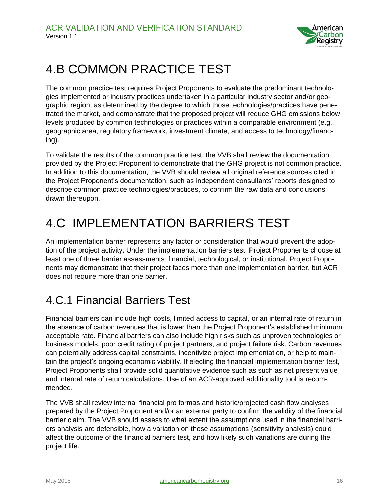

#### <span id="page-15-0"></span>4.B COMMON PRACTICE TEST

The common practice test requires Project Proponents to evaluate the predominant technologies implemented or industry practices undertaken in a particular industry sector and/or geographic region, as determined by the degree to which those technologies/practices have penetrated the market, and demonstrate that the proposed project will reduce GHG emissions below levels produced by common technologies or practices within a comparable environment (e.g., geographic area, regulatory framework, investment climate, and access to technology/financing).

To validate the results of the common practice test, the VVB shall review the documentation provided by the Project Proponent to demonstrate that the GHG project is not common practice. In addition to this documentation, the VVB should review all original reference sources cited in the Project Proponent's documentation, such as independent consultants' reports designed to describe common practice technologies/practices, to confirm the raw data and conclusions drawn thereupon.

### <span id="page-15-1"></span>4.C IMPLEMENTATION BARRIERS TEST

An implementation barrier represents any factor or consideration that would prevent the adoption of the project activity. Under the implementation barriers test, Project Proponents choose at least one of three barrier assessments: financial, technological, or institutional. Project Proponents may demonstrate that their project faces more than one implementation barrier, but ACR does not require more than one barrier.

#### <span id="page-15-2"></span>4.C.1 Financial Barriers Test

Financial barriers can include high costs, limited access to capital, or an internal rate of return in the absence of carbon revenues that is lower than the Project Proponent's established minimum acceptable rate. Financial barriers can also include high risks such as unproven technologies or business models, poor credit rating of project partners, and project failure risk. Carbon revenues can potentially address capital constraints, incentivize project implementation, or help to maintain the project's ongoing economic viability. If electing the financial implementation barrier test, Project Proponents shall provide solid quantitative evidence such as such as net present value and internal rate of return calculations. Use of an ACR-approved additionality tool is recommended.

The VVB shall review internal financial pro formas and historic/projected cash flow analyses prepared by the Project Proponent and/or an external party to confirm the validity of the financial barrier claim. The VVB should assess to what extent the assumptions used in the financial barriers analysis are defensible, how a variation on those assumptions (sensitivity analysis) could affect the outcome of the financial barriers test, and how likely such variations are during the project life.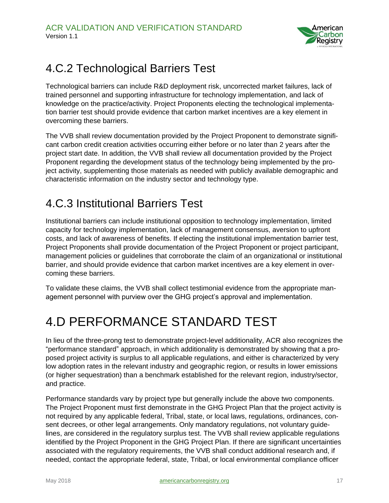

#### <span id="page-16-0"></span>4.C.2 Technological Barriers Test

Technological barriers can include R&D deployment risk, uncorrected market failures, lack of trained personnel and supporting infrastructure for technology implementation, and lack of knowledge on the practice/activity. Project Proponents electing the technological implementation barrier test should provide evidence that carbon market incentives are a key element in overcoming these barriers.

The VVB shall review documentation provided by the Project Proponent to demonstrate significant carbon credit creation activities occurring either before or no later than 2 years after the project start date. In addition, the VVB shall review all documentation provided by the Project Proponent regarding the development status of the technology being implemented by the project activity, supplementing those materials as needed with publicly available demographic and characteristic information on the industry sector and technology type.

#### <span id="page-16-1"></span>4.C.3 Institutional Barriers Test

Institutional barriers can include institutional opposition to technology implementation, limited capacity for technology implementation, lack of management consensus, aversion to upfront costs, and lack of awareness of benefits. If electing the institutional implementation barrier test, Project Proponents shall provide documentation of the Project Proponent or project participant, management policies or guidelines that corroborate the claim of an organizational or institutional barrier, and should provide evidence that carbon market incentives are a key element in overcoming these barriers.

To validate these claims, the VVB shall collect testimonial evidence from the appropriate management personnel with purview over the GHG project's approval and implementation.

### <span id="page-16-2"></span>4.D PERFORMANCE STANDARD TEST

In lieu of the three-prong test to demonstrate project-level additionality, ACR also recognizes the "performance standard" approach, in which additionality is demonstrated by showing that a proposed project activity is surplus to all applicable regulations, and either is characterized by very low adoption rates in the relevant industry and geographic region, or results in lower emissions (or higher sequestration) than a benchmark established for the relevant region, industry/sector, and practice.

Performance standards vary by project type but generally include the above two components. The Project Proponent must first demonstrate in the GHG Project Plan that the project activity is not required by any applicable federal, Tribal, state, or local laws, regulations, ordinances, consent decrees, or other legal arrangements. Only mandatory regulations, not voluntary guidelines, are considered in the regulatory surplus test. The VVB shall review applicable regulations identified by the Project Proponent in the GHG Project Plan. If there are significant uncertainties associated with the regulatory requirements, the VVB shall conduct additional research and, if needed, contact the appropriate federal, state, Tribal, or local environmental compliance officer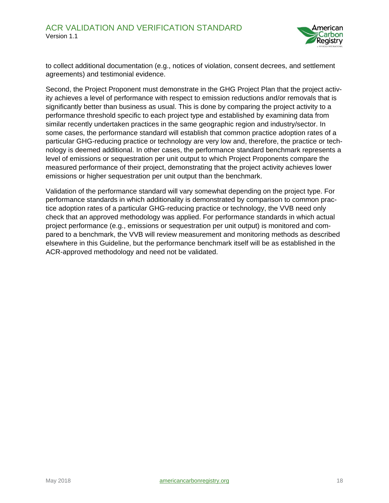

to collect additional documentation (e.g., notices of violation, consent decrees, and settlement agreements) and testimonial evidence.

Second, the Project Proponent must demonstrate in the GHG Project Plan that the project activity achieves a level of performance with respect to emission reductions and/or removals that is significantly better than business as usual. This is done by comparing the project activity to a performance threshold specific to each project type and established by examining data from similar recently undertaken practices in the same geographic region and industry/sector. In some cases, the performance standard will establish that common practice adoption rates of a particular GHG-reducing practice or technology are very low and, therefore, the practice or technology is deemed additional. In other cases, the performance standard benchmark represents a level of emissions or sequestration per unit output to which Project Proponents compare the measured performance of their project, demonstrating that the project activity achieves lower emissions or higher sequestration per unit output than the benchmark.

Validation of the performance standard will vary somewhat depending on the project type. For performance standards in which additionality is demonstrated by comparison to common practice adoption rates of a particular GHG-reducing practice or technology, the VVB need only check that an approved methodology was applied. For performance standards in which actual project performance (e.g., emissions or sequestration per unit output) is monitored and compared to a benchmark, the VVB will review measurement and monitoring methods as described elsewhere in this Guideline, but the performance benchmark itself will be as established in the ACR-approved methodology and need not be validated.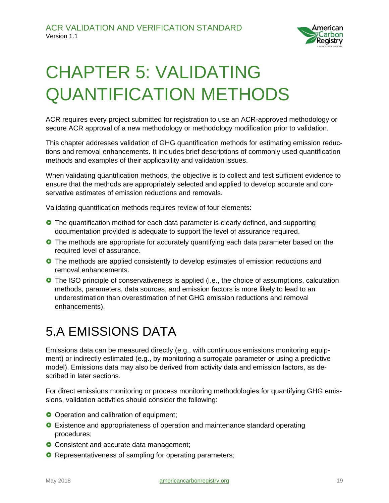

# <span id="page-18-0"></span>CHAPTER 5: VALIDATING QUANTIFICATION METHODS

ACR requires every project submitted for registration to use an ACR-approved methodology or secure ACR approval of a new methodology or methodology modification prior to validation.

This chapter addresses validation of GHG quantification methods for estimating emission reductions and removal enhancements. It includes brief descriptions of commonly used quantification methods and examples of their applicability and validation issues.

When validating quantification methods, the objective is to collect and test sufficient evidence to ensure that the methods are appropriately selected and applied to develop accurate and conservative estimates of emission reductions and removals.

Validating quantification methods requires review of four elements:

- **O** The quantification method for each data parameter is clearly defined, and supporting documentation provided is adequate to support the level of assurance required.
- **O** The methods are appropriate for accurately quantifying each data parameter based on the required level of assurance.
- **O** The methods are applied consistently to develop estimates of emission reductions and removal enhancements.
- **O** The ISO principle of conservativeness is applied (i.e., the choice of assumptions, calculation methods, parameters, data sources, and emission factors is more likely to lead to an underestimation than overestimation of net GHG emission reductions and removal enhancements).

#### <span id="page-18-1"></span>5.A EMISSIONS DATA

Emissions data can be measured directly (e.g., with continuous emissions monitoring equipment) or indirectly estimated (e.g., by monitoring a surrogate parameter or using a predictive model). Emissions data may also be derived from activity data and emission factors, as described in later sections.

For direct emissions monitoring or process monitoring methodologies for quantifying GHG emissions, validation activities should consider the following:

- O Operation and calibration of equipment;
- **O** Existence and appropriateness of operation and maintenance standard operating procedures;
- **O** Consistent and accurate data management;
- **O** Representativeness of sampling for operating parameters;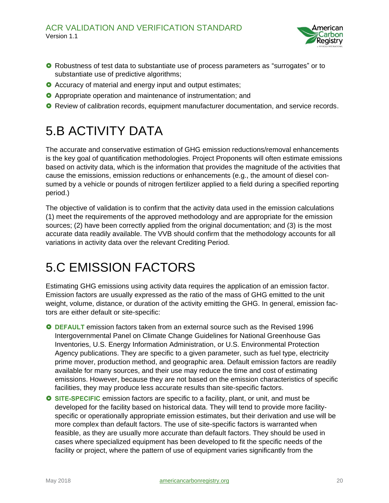

- **O** Robustness of test data to substantiate use of process parameters as "surrogates" or to substantiate use of predictive algorithms;
- **O** Accuracy of material and energy input and output estimates;
- **O** Appropriate operation and maintenance of instrumentation; and
- <span id="page-19-0"></span>**O** Review of calibration records, equipment manufacturer documentation, and service records.

### 5.B ACTIVITY DATA

The accurate and conservative estimation of GHG emission reductions/removal enhancements is the key goal of quantification methodologies. Project Proponents will often estimate emissions based on activity data, which is the information that provides the magnitude of the activities that cause the emissions, emission reductions or enhancements (e.g., the amount of diesel consumed by a vehicle or pounds of nitrogen fertilizer applied to a field during a specified reporting period.)

The objective of validation is to confirm that the activity data used in the emission calculations (1) meet the requirements of the approved methodology and are appropriate for the emission sources; (2) have been correctly applied from the original documentation; and (3) is the most accurate data readily available. The VVB should confirm that the methodology accounts for all variations in activity data over the relevant Crediting Period.

#### <span id="page-19-1"></span>5.C EMISSION FACTORS

Estimating GHG emissions using activity data requires the application of an emission factor. Emission factors are usually expressed as the ratio of the mass of GHG emitted to the unit weight, volume, distance, or duration of the activity emitting the GHG. In general, emission factors are either default or site-specific:

- **DEFAULT** emission factors taken from an external source such as the Revised 1996 Intergovernmental Panel on Climate Change Guidelines for National Greenhouse Gas Inventories, U.S. Energy Information Administration, or U.S. Environmental Protection Agency publications. They are specific to a given parameter, such as fuel type, electricity prime mover, production method, and geographic area. Default emission factors are readily available for many sources, and their use may reduce the time and cost of estimating emissions. However, because they are not based on the emission characteristics of specific facilities, they may produce less accurate results than site-specific factors.
- **O** SITE-SPECIFIC emission factors are specific to a facility, plant, or unit, and must be developed for the facility based on historical data. They will tend to provide more facilityspecific or operationally appropriate emission estimates, but their derivation and use will be more complex than default factors. The use of site-specific factors is warranted when feasible, as they are usually more accurate than default factors. They should be used in cases where specialized equipment has been developed to fit the specific needs of the facility or project, where the pattern of use of equipment varies significantly from the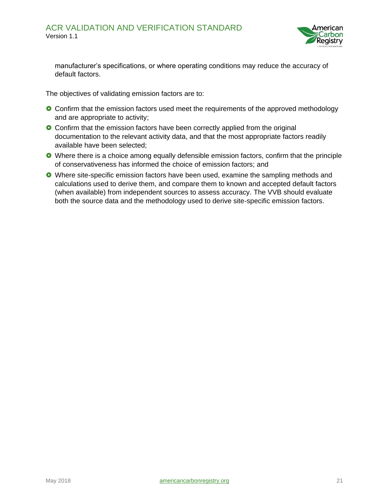

manufacturer's specifications, or where operating conditions may reduce the accuracy of default factors.

The objectives of validating emission factors are to:

- **O** Confirm that the emission factors used meet the requirements of the approved methodology and are appropriate to activity;
- **O** Confirm that the emission factors have been correctly applied from the original documentation to the relevant activity data, and that the most appropriate factors readily available have been selected;
- Where there is a choice among equally defensible emission factors, confirm that the principle of conservativeness has informed the choice of emission factors; and
- Where site-specific emission factors have been used, examine the sampling methods and calculations used to derive them, and compare them to known and accepted default factors (when available) from independent sources to assess accuracy. The VVB should evaluate both the source data and the methodology used to derive site-specific emission factors.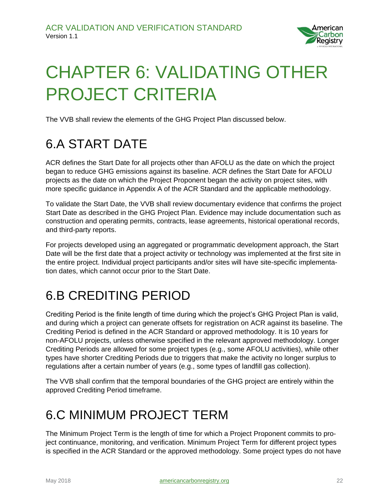

# <span id="page-21-0"></span>CHAPTER 6: VALIDATING OTHER PROJECT CRITERIA

The VVB shall review the elements of the GHG Project Plan discussed below.

#### <span id="page-21-1"></span>6.A START DATE

ACR defines the Start Date for all projects other than AFOLU as the date on which the project began to reduce GHG emissions against its baseline. ACR defines the Start Date for AFOLU projects as the date on which the Project Proponent began the activity on project sites, with more specific guidance in Appendix A of the ACR Standard and the applicable methodology.

To validate the Start Date, the VVB shall review documentary evidence that confirms the project Start Date as described in the GHG Project Plan. Evidence may include documentation such as construction and operating permits, contracts, lease agreements, historical operational records, and third-party reports.

For projects developed using an aggregated or programmatic development approach, the Start Date will be the first date that a project activity or technology was implemented at the first site in the entire project. Individual project participants and/or sites will have site-specific implementation dates, which cannot occur prior to the Start Date.

### <span id="page-21-2"></span>6.B CREDITING PERIOD

Crediting Period is the finite length of time during which the project's GHG Project Plan is valid, and during which a project can generate offsets for registration on ACR against its baseline. The Crediting Period is defined in the ACR Standard or approved methodology. It is 10 years for non-AFOLU projects, unless otherwise specified in the relevant approved methodology. Longer Crediting Periods are allowed for some project types (e.g., some AFOLU activities), while other types have shorter Crediting Periods due to triggers that make the activity no longer surplus to regulations after a certain number of years (e.g., some types of landfill gas collection).

The VVB shall confirm that the temporal boundaries of the GHG project are entirely within the approved Crediting Period timeframe.

#### <span id="page-21-3"></span>6.C MINIMUM PROJECT TERM

The Minimum Project Term is the length of time for which a Project Proponent commits to project continuance, monitoring, and verification. Minimum Project Term for different project types is specified in the ACR Standard or the approved methodology. Some project types do not have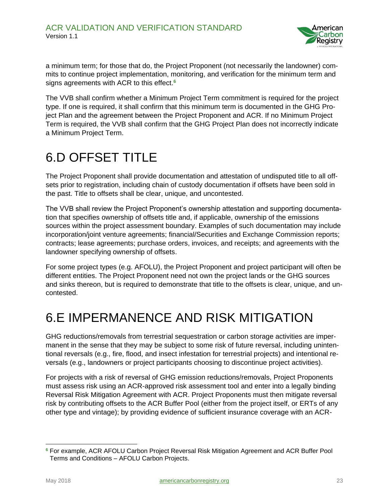

a minimum term; for those that do, the Project Proponent (not necessarily the landowner) commits to continue project implementation, monitoring, and verification for the minimum term and signs agreements with ACR to this effect.**<sup>6</sup>**

The VVB shall confirm whether a Minimum Project Term commitment is required for the project type. If one is required, it shall confirm that this minimum term is documented in the GHG Project Plan and the agreement between the Project Proponent and ACR. If no Minimum Project Term is required, the VVB shall confirm that the GHG Project Plan does not incorrectly indicate a Minimum Project Term.

#### <span id="page-22-0"></span>6.D OFFSET TITLE

The Project Proponent shall provide documentation and attestation of undisputed title to all offsets prior to registration, including chain of custody documentation if offsets have been sold in the past. Title to offsets shall be clear, unique, and uncontested.

The VVB shall review the Project Proponent's ownership attestation and supporting documentation that specifies ownership of offsets title and, if applicable, ownership of the emissions sources within the project assessment boundary. Examples of such documentation may include incorporation/joint venture agreements; financial/Securities and Exchange Commission reports; contracts; lease agreements; purchase orders, invoices, and receipts; and agreements with the landowner specifying ownership of offsets.

For some project types (e.g. AFOLU), the Project Proponent and project participant will often be different entities. The Project Proponent need not own the project lands or the GHG sources and sinks thereon, but is required to demonstrate that title to the offsets is clear, unique, and uncontested.

### <span id="page-22-1"></span>6.E IMPERMANENCE AND RISK MITIGATION

GHG reductions/removals from terrestrial sequestration or carbon storage activities are impermanent in the sense that they may be subject to some risk of future reversal, including unintentional reversals (e.g., fire, flood, and insect infestation for terrestrial projects) and intentional reversals (e.g., landowners or project participants choosing to discontinue project activities).

For projects with a risk of reversal of GHG emission reductions/removals, Project Proponents must assess risk using an ACR-approved risk assessment tool and enter into a legally binding Reversal Risk Mitigation Agreement with ACR. Project Proponents must then mitigate reversal risk by contributing offsets to the ACR Buffer Pool (either from the project itself, or ERTs of any other type and vintage); by providing evidence of sufficient insurance coverage with an ACR-

 **<sup>6</sup>** For example, ACR AFOLU Carbon Project Reversal Risk Mitigation Agreement and ACR Buffer Pool Terms and Conditions – AFOLU Carbon Projects.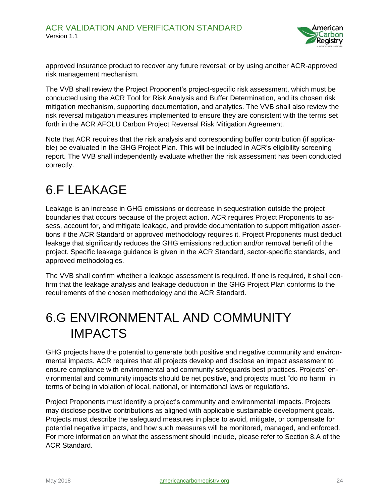

approved insurance product to recover any future reversal; or by using another ACR-approved risk management mechanism.

The VVB shall review the Project Proponent's project-specific risk assessment, which must be conducted using the ACR Tool for Risk Analysis and Buffer Determination, and its chosen risk mitigation mechanism, supporting documentation, and analytics. The VVB shall also review the risk reversal mitigation measures implemented to ensure they are consistent with the terms set forth in the ACR AFOLU Carbon Project Reversal Risk Mitigation Agreement.

Note that ACR requires that the risk analysis and corresponding buffer contribution (if applicable) be evaluated in the GHG Project Plan. This will be included in ACR's eligibility screening report. The VVB shall independently evaluate whether the risk assessment has been conducted correctly.

#### <span id="page-23-0"></span>6.F LEAKAGE

Leakage is an increase in GHG emissions or decrease in sequestration outside the project boundaries that occurs because of the project action. ACR requires Project Proponents to assess, account for, and mitigate leakage, and provide documentation to support mitigation assertions if the ACR Standard or approved methodology requires it. Project Proponents must deduct leakage that significantly reduces the GHG emissions reduction and/or removal benefit of the project. Specific leakage guidance is given in the ACR Standard, sector-specific standards, and approved methodologies.

The VVB shall confirm whether a leakage assessment is required. If one is required, it shall confirm that the leakage analysis and leakage deduction in the GHG Project Plan conforms to the requirements of the chosen methodology and the ACR Standard.

#### <span id="page-23-1"></span>6.G ENVIRONMENTAL AND COMMUNITY IMPACTS

GHG projects have the potential to generate both positive and negative community and environmental impacts. ACR requires that all projects develop and disclose an impact assessment to ensure compliance with environmental and community safeguards best practices. Projects' environmental and community impacts should be net positive, and projects must "do no harm" in terms of being in violation of local, national, or international laws or regulations.

Project Proponents must identify a project's community and environmental impacts. Projects may disclose positive contributions as aligned with applicable sustainable development goals. Projects must describe the safeguard measures in place to avoid, mitigate, or compensate for potential negative impacts, and how such measures will be monitored, managed, and enforced. For more information on what the assessment should include, please refer to Section 8.A of the ACR Standard.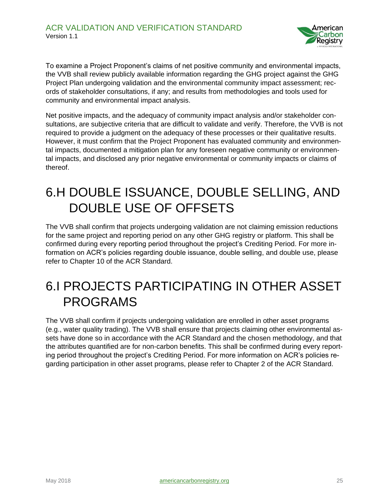

To examine a Project Proponent's claims of net positive community and environmental impacts, the VVB shall review publicly available information regarding the GHG project against the GHG Project Plan undergoing validation and the environmental community impact assessment; records of stakeholder consultations, if any; and results from methodologies and tools used for community and environmental impact analysis.

Net positive impacts, and the adequacy of community impact analysis and/or stakeholder consultations, are subjective criteria that are difficult to validate and verify. Therefore, the VVB is not required to provide a judgment on the adequacy of these processes or their qualitative results. However, it must confirm that the Project Proponent has evaluated community and environmental impacts, documented a mitigation plan for any foreseen negative community or environmental impacts, and disclosed any prior negative environmental or community impacts or claims of thereof.

#### <span id="page-24-0"></span>6.H DOUBLE ISSUANCE, DOUBLE SELLING, AND DOUBLE USE OF OFFSETS

The VVB shall confirm that projects undergoing validation are not claiming emission reductions for the same project and reporting period on any other GHG registry or platform. This shall be confirmed during every reporting period throughout the project's Crediting Period. For more information on ACR's policies regarding double issuance, double selling, and double use, please refer to Chapter 10 of the ACR Standard.

#### <span id="page-24-1"></span>6.I PROJECTS PARTICIPATING IN OTHER ASSET PROGRAMS

The VVB shall confirm if projects undergoing validation are enrolled in other asset programs (e.g., water quality trading). The VVB shall ensure that projects claiming other environmental assets have done so in accordance with the ACR Standard and the chosen methodology, and that the attributes quantified are for non-carbon benefits. This shall be confirmed during every reporting period throughout the project's Crediting Period. For more information on ACR's policies regarding participation in other asset programs, please refer to Chapter 2 of the ACR Standard.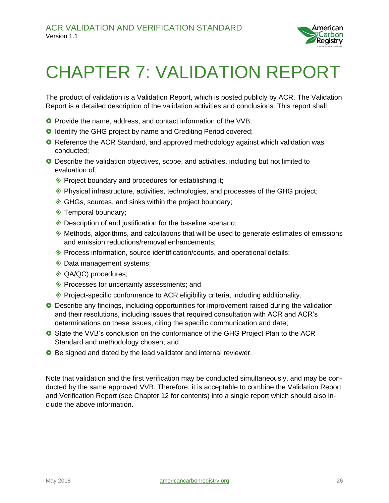

### <span id="page-25-0"></span>CHAPTER 7: VALIDATION REPORT

The product of validation is a Validation Report, which is posted publicly by ACR. The Validation Report is a detailed description of the validation activities and conclusions. This report shall:

- **O** Provide the name, address, and contact information of the VVB;
- **O** Identify the GHG project by name and Crediting Period covered;
- **O** Reference the ACR Standard, and approved methodology against which validation was conducted;
- Describe the validation objectives, scope, and activities, including but not limited to evaluation of:
	- ◆ Project boundary and procedures for establishing it;
	- $\Diamond$  Physical infrastructure, activities, technologies, and processes of the GHG project;
	- GHGs, sources, and sinks within the project boundary;
	- **EXEC** Temporal boundary;
	- Description of and justification for the baseline scenario;
	- $\Diamond$  Methods, algorithms, and calculations that will be used to generate estimates of emissions and emission reductions/removal enhancements;
	- $\Diamond$  Process information, source identification/counts, and operational details;
	- ◆ Data management systems;
	- ◆ QA/QC) procedures;
	- ◆ Processes for uncertainty assessments; and
	- $\textcircled{*}$  Project-specific conformance to ACR eligibility criteria, including additionality.
- Describe any findings, including opportunities for improvement raised during the validation and their resolutions, including issues that required consultation with ACR and ACR's determinations on these issues, citing the specific communication and date;
- **O** State the VVB's conclusion on the conformance of the GHG Project Plan to the ACR Standard and methodology chosen; and
- **O** Be signed and dated by the lead validator and internal reviewer.

Note that validation and the first verification may be conducted simultaneously, and may be conducted by the same approved VVB. Therefore, it is acceptable to combine the Validation Report and Verification Report (see Chapter 12 for contents) into a single report which should also include the above information.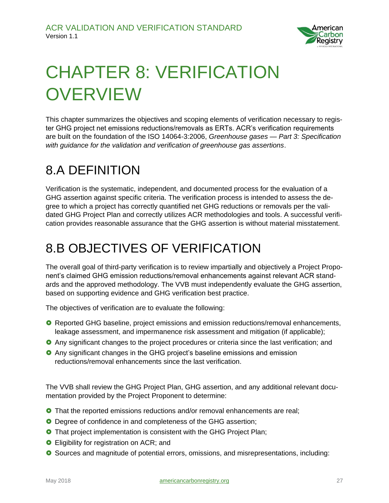

# <span id="page-26-0"></span>CHAPTER 8: VERIFICATION **OVERVIEW**

This chapter summarizes the objectives and scoping elements of verification necessary to register GHG project net emissions reductions/removals as ERTs. ACR's verification requirements are built on the foundation of the ISO 14064-3:2006, *Greenhouse gases — Part 3: Specification with guidance for the validation and verification of greenhouse gas assertions*.

#### <span id="page-26-1"></span>8.A DEFINITION

Verification is the systematic, independent, and documented process for the evaluation of a GHG assertion against specific criteria. The verification process is intended to assess the degree to which a project has correctly quantified net GHG reductions or removals per the validated GHG Project Plan and correctly utilizes ACR methodologies and tools. A successful verification provides reasonable assurance that the GHG assertion is without material misstatement.

#### <span id="page-26-2"></span>8.B OBJECTIVES OF VERIFICATION

The overall goal of third-party verification is to review impartially and objectively a Project Proponent's claimed GHG emission reductions/removal enhancements against relevant ACR standards and the approved methodology. The VVB must independently evaluate the GHG assertion, based on supporting evidence and GHG verification best practice.

The objectives of verification are to evaluate the following:

- **O** Reported GHG baseline, project emissions and emission reductions/removal enhancements, leakage assessment, and impermanence risk assessment and mitigation (if applicable);
- **O** Any significant changes to the project procedures or criteria since the last verification; and
- Any significant changes in the GHG project's baseline emissions and emission reductions/removal enhancements since the last verification.

The VVB shall review the GHG Project Plan, GHG assertion, and any additional relevant documentation provided by the Project Proponent to determine:

- **O** That the reported emissions reductions and/or removal enhancements are real;
- **O** Degree of confidence in and completeness of the GHG assertion;
- **O** That project implementation is consistent with the GHG Project Plan;
- **O** Eligibility for registration on ACR; and
- Sources and magnitude of potential errors, omissions, and misrepresentations, including: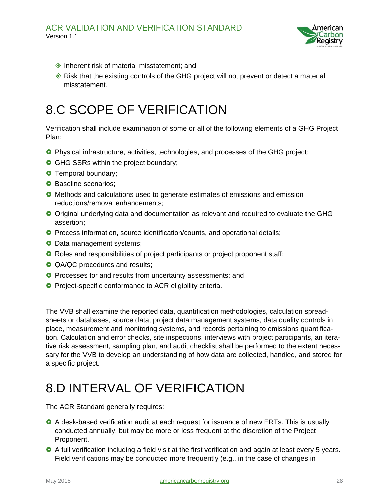

- $\diamond$  Inherent risk of material misstatement; and
- $\Diamond$  Risk that the existing controls of the GHG project will not prevent or detect a material misstatement.

#### <span id="page-27-0"></span>8.C SCOPE OF VERIFICATION

Verification shall include examination of some or all of the following elements of a GHG Project Plan:

- Physical infrastructure, activities, technologies, and processes of the GHG project;
- **GHG SSRs within the project boundary;**
- **O** Temporal boundary;
- **O** Baseline scenarios;
- **O** Methods and calculations used to generate estimates of emissions and emission reductions/removal enhancements;
- Original underlying data and documentation as relevant and required to evaluate the GHG assertion;
- **O** Process information, source identification/counts, and operational details;
- **O** Data management systems;
- **O** Roles and responsibilities of project participants or project proponent staff;
- **QA/QC** procedures and results;
- **O** Processes for and results from uncertainty assessments; and
- **O** Project-specific conformance to ACR eligibility criteria.

The VVB shall examine the reported data, quantification methodologies, calculation spreadsheets or databases, source data, project data management systems, data quality controls in place, measurement and monitoring systems, and records pertaining to emissions quantification. Calculation and error checks, site inspections, interviews with project participants, an iterative risk assessment, sampling plan, and audit checklist shall be performed to the extent necessary for the VVB to develop an understanding of how data are collected, handled, and stored for a specific project.

#### <span id="page-27-1"></span>8.D INTERVAL OF VERIFICATION

The ACR Standard generally requires:

- **O** A desk-based verification audit at each request for issuance of new ERTs. This is usually conducted annually, but may be more or less frequent at the discretion of the Project Proponent.
- A full verification including a field visit at the first verification and again at least every 5 years. Field verifications may be conducted more frequently (e.g., in the case of changes in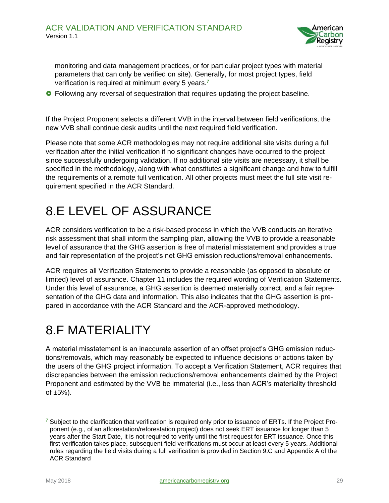

monitoring and data management practices, or for particular project types with material parameters that can only be verified on site). Generally, for most project types, field verification is required at minimum every 5 years. **7**

**•** Following any reversal of sequestration that requires updating the project baseline.

If the Project Proponent selects a different VVB in the interval between field verifications, the new VVB shall continue desk audits until the next required field verification.

Please note that some ACR methodologies may not require additional site visits during a full verification after the initial verification if no significant changes have occurred to the project since successfully undergoing validation. If no additional site visits are necessary, it shall be specified in the methodology, along with what constitutes a significant change and how to fulfill the requirements of a remote full verification. All other projects must meet the full site visit requirement specified in the ACR Standard.

#### <span id="page-28-0"></span>8.E LEVEL OF ASSURANCE

ACR considers verification to be a risk-based process in which the VVB conducts an iterative risk assessment that shall inform the sampling plan, allowing the VVB to provide a reasonable level of assurance that the GHG assertion is free of material misstatement and provides a true and fair representation of the project's net GHG emission reductions/removal enhancements.

ACR requires all Verification Statements to provide a reasonable (as opposed to absolute or limited) level of assurance. Chapter 11 includes the required wording of Verification Statements. Under this level of assurance, a GHG assertion is deemed materially correct, and a fair representation of the GHG data and information. This also indicates that the GHG assertion is prepared in accordance with the ACR Standard and the ACR-approved methodology.

#### <span id="page-28-1"></span>8.F MATERIALITY

A material misstatement is an inaccurate assertion of an offset project's GHG emission reductions/removals, which may reasonably be expected to influence decisions or actions taken by the users of the GHG project information. To accept a Verification Statement, ACR requires that discrepancies between the emission reductions/removal enhancements claimed by the Project Proponent and estimated by the VVB be immaterial (i.e., less than ACR's materiality threshold of  $\pm 5\%$ ).

**<sup>7</sup>** Subject to the clarification that verification is required only prior to issuance of ERTs. If the Project Proponent (e.g., of an afforestation/reforestation project) does not seek ERT issuance for longer than 5 years after the Start Date, it is not required to verify until the first request for ERT issuance. Once this first verification takes place, subsequent field verifications must occur at least every 5 years. Additional rules regarding the field visits during a full verification is provided in Section 9.C and Appendix A of the ACR Standard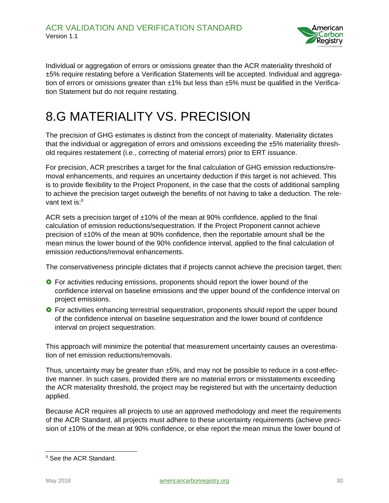

Individual or aggregation of errors or omissions greater than the ACR materiality threshold of ±5% require restating before a Verification Statements will be accepted. Individual and aggregation of errors or omissions greater than  $\pm$ 1% but less than  $\pm$ 5% must be qualified in the Verification Statement but do not require restating.

#### <span id="page-29-0"></span>8.G MATERIALITY VS. PRECISION

The precision of GHG estimates is distinct from the concept of materiality. Materiality dictates that the individual or aggregation of errors and omissions exceeding the ±5% materiality threshold requires restatement (i.e., correcting of material errors) prior to ERT issuance.

For precision, ACR prescribes a target for the final calculation of GHG emission reductions/removal enhancements, and requires an uncertainty deduction if this target is not achieved. This is to provide flexibility to the Project Proponent, in the case that the costs of additional sampling to achieve the precision target outweigh the benefits of not having to take a deduction. The relevant text is:**<sup>8</sup>**

ACR sets a precision target of  $\pm$ 10% of the mean at 90% confidence, applied to the final calculation of emission reductions/sequestration. If the Project Proponent cannot achieve precision of ±10% of the mean at 90% confidence, then the reportable amount shall be the mean minus the lower bound of the 90% confidence interval, applied to the final calculation of emission reductions/removal enhancements.

The conservativeness principle dictates that if projects cannot achieve the precision target, then:

- **•** For activities reducing emissions, proponents should report the lower bound of the confidence interval on baseline emissions and the upper bound of the confidence interval on project emissions.
- **•** For activities enhancing terrestrial sequestration, proponents should report the upper bound of the confidence interval on baseline sequestration and the lower bound of confidence interval on project sequestration.

This approach will minimize the potential that measurement uncertainty causes an overestimation of net emission reductions/removals.

Thus, uncertainty may be greater than ±5%, and may not be possible to reduce in a cost-effective manner. In such cases, provided there are no material errors or misstatements exceeding the ACR materiality threshold, the project may be registered but with the uncertainty deduction applied.

Because ACR requires all projects to use an approved methodology and meet the requirements of the ACR Standard, all projects must adhere to these uncertainty requirements (achieve precision of ±10% of the mean at 90% confidence, or else report the mean minus the lower bound of

 $\overline{a}$ 

**<sup>8</sup>** See the ACR Standard.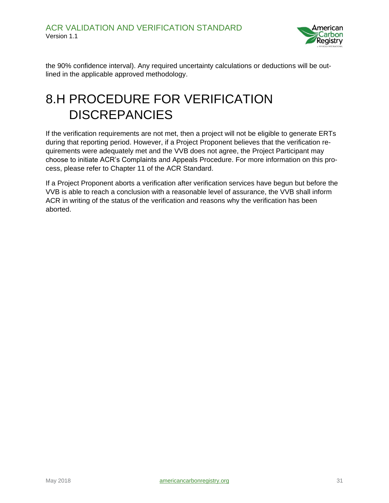

the 90% confidence interval). Any required uncertainty calculations or deductions will be outlined in the applicable approved methodology.

#### <span id="page-30-0"></span>8.H PROCEDURE FOR VERIFICATION **DISCREPANCIES**

If the verification requirements are not met, then a project will not be eligible to generate ERTs during that reporting period. However, if a Project Proponent believes that the verification requirements were adequately met and the VVB does not agree, the Project Participant may choose to initiate ACR's Complaints and Appeals Procedure. For more information on this process, please refer to Chapter 11 of the ACR Standard.

If a Project Proponent aborts a verification after verification services have begun but before the VVB is able to reach a conclusion with a reasonable level of assurance, the VVB shall inform ACR in writing of the status of the verification and reasons why the verification has been aborted.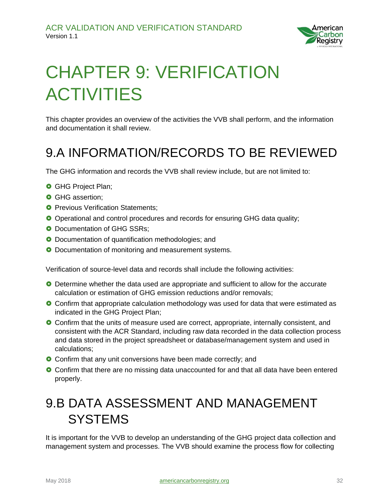

# <span id="page-31-0"></span>CHAPTER 9: VERIFICATION ACTIVITIES

This chapter provides an overview of the activities the VVB shall perform, and the information and documentation it shall review.

#### <span id="page-31-1"></span>9.A INFORMATION/RECORDS TO BE REVIEWED

The GHG information and records the VVB shall review include, but are not limited to:

- **O** GHG Project Plan;
- **O** GHG assertion:
- **O** Previous Verification Statements:
- Operational and control procedures and records for ensuring GHG data quality;
- **O** Documentation of GHG SSRs;
- **O** Documentation of quantification methodologies; and
- **O** Documentation of monitoring and measurement systems.

Verification of source-level data and records shall include the following activities:

- Determine whether the data used are appropriate and sufficient to allow for the accurate calculation or estimation of GHG emission reductions and/or removals;
- **O** Confirm that appropriate calculation methodology was used for data that were estimated as indicated in the GHG Project Plan;
- Confirm that the units of measure used are correct, appropriate, internally consistent, and consistent with the ACR Standard, including raw data recorded in the data collection process and data stored in the project spreadsheet or database/management system and used in calculations;
- **O** Confirm that any unit conversions have been made correctly; and
- **O** Confirm that there are no missing data unaccounted for and that all data have been entered properly.

#### <span id="page-31-2"></span>9.B DATA ASSESSMENT AND MANAGEMENT **SYSTEMS**

It is important for the VVB to develop an understanding of the GHG project data collection and management system and processes. The VVB should examine the process flow for collecting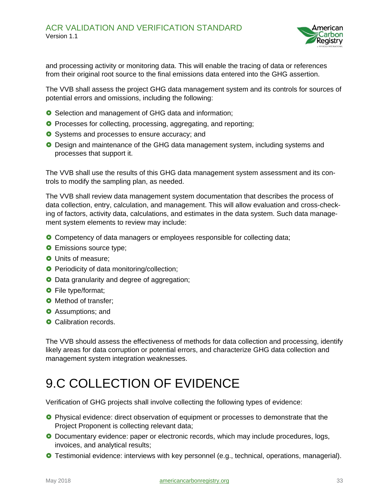

and processing activity or monitoring data. This will enable the tracing of data or references from their original root source to the final emissions data entered into the GHG assertion.

The VVB shall assess the project GHG data management system and its controls for sources of potential errors and omissions, including the following:

- **O** Selection and management of GHG data and information;
- **O** Processes for collecting, processing, aggregating, and reporting;
- **O** Systems and processes to ensure accuracy; and
- **O** Design and maintenance of the GHG data management system, including systems and processes that support it.

The VVB shall use the results of this GHG data management system assessment and its controls to modify the sampling plan, as needed.

The VVB shall review data management system documentation that describes the process of data collection, entry, calculation, and management. This will allow evaluation and cross-checking of factors, activity data, calculations, and estimates in the data system. Such data management system elements to review may include:

- **O** Competency of data managers or employees responsible for collecting data;
- **O** Emissions source type;
- **O** Units of measure;
- **O** Periodicity of data monitoring/collection;
- **O** Data granularity and degree of aggregation;
- **O** File type/format;
- **O** Method of transfer;
- **O** Assumptions: and
- **O** Calibration records.

The VVB should assess the effectiveness of methods for data collection and processing, identify likely areas for data corruption or potential errors, and characterize GHG data collection and management system integration weaknesses.

#### <span id="page-32-0"></span>9.C COLLECTION OF EVIDENCE

Verification of GHG projects shall involve collecting the following types of evidence:

- **O** Physical evidence: direct observation of equipment or processes to demonstrate that the Project Proponent is collecting relevant data;
- **O** Documentary evidence: paper or electronic records, which may include procedures, logs, invoices, and analytical results;
- **O** Testimonial evidence: interviews with key personnel (e.g., technical, operations, managerial).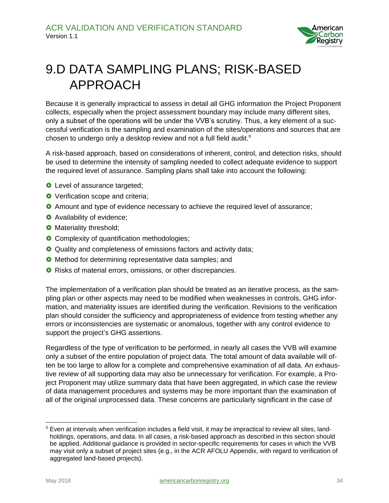

### <span id="page-33-0"></span>9.D DATA SAMPLING PLANS; RISK-BASED APPROACH

Because it is generally impractical to assess in detail all GHG information the Project Proponent collects, especially when the project assessment boundary may include many different sites, only a subset of the operations will be under the VVB's scrutiny. Thus, a key element of a successful verification is the sampling and examination of the sites/operations and sources that are chosen to undergo only a desktop review and not a full field audit.**<sup>9</sup>**

A risk-based approach, based on considerations of inherent, control, and detection risks, should be used to determine the intensity of sampling needed to collect adequate evidence to support the required level of assurance. Sampling plans shall take into account the following:

- **O** Level of assurance targeted;
- **O** Verification scope and criteria;
- Amount and type of evidence necessary to achieve the required level of assurance;
- **O** Availability of evidence;
- **O** Materiality threshold;
- **O** Complexity of quantification methodologies;
- **O** Quality and completeness of emissions factors and activity data;
- **O** Method for determining representative data samples; and
- **O** Risks of material errors, omissions, or other discrepancies.

The implementation of a verification plan should be treated as an iterative process, as the sampling plan or other aspects may need to be modified when weaknesses in controls, GHG information, and materiality issues are identified during the verification. Revisions to the verification plan should consider the sufficiency and appropriateness of evidence from testing whether any errors or inconsistencies are systematic or anomalous, together with any control evidence to support the project's GHG assertions.

Regardless of the type of verification to be performed, in nearly all cases the VVB will examine only a subset of the entire population of project data. The total amount of data available will often be too large to allow for a complete and comprehensive examination of all data. An exhaustive review of all supporting data may also be unnecessary for verification. For example, a Project Proponent may utilize summary data that have been aggregated, in which case the review of data management procedures and systems may be more important than the examination of all of the original unprocessed data. These concerns are particularly significant in the case of

**<sup>9</sup>** Even at intervals when verification includes a field visit, it may be impractical to review all sites, landholdings, operations, and data. In all cases, a risk-based approach as described in this section should be applied. Additional guidance is provided in sector-specific requirements for cases in which the VVB may visit only a subset of project sites (e.g., in the ACR AFOLU Appendix, with regard to verification of aggregated land-based projects).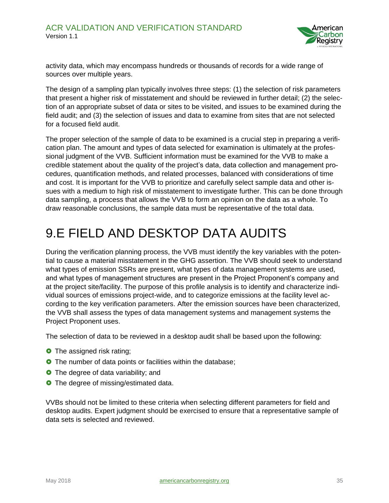

activity data, which may encompass hundreds or thousands of records for a wide range of sources over multiple years.

The design of a sampling plan typically involves three steps: (1) the selection of risk parameters that present a higher risk of misstatement and should be reviewed in further detail; (2) the selection of an appropriate subset of data or sites to be visited, and issues to be examined during the field audit; and (3) the selection of issues and data to examine from sites that are not selected for a focused field audit.

The proper selection of the sample of data to be examined is a crucial step in preparing a verification plan. The amount and types of data selected for examination is ultimately at the professional judgment of the VVB. Sufficient information must be examined for the VVB to make a credible statement about the quality of the project's data, data collection and management procedures, quantification methods, and related processes, balanced with considerations of time and cost. It is important for the VVB to prioritize and carefully select sample data and other issues with a medium to high risk of misstatement to investigate further. This can be done through data sampling, a process that allows the VVB to form an opinion on the data as a whole. To draw reasonable conclusions, the sample data must be representative of the total data.

#### <span id="page-34-0"></span>9.E FIELD AND DESKTOP DATA AUDITS

During the verification planning process, the VVB must identify the key variables with the potential to cause a material misstatement in the GHG assertion. The VVB should seek to understand what types of emission SSRs are present, what types of data management systems are used, and what types of management structures are present in the Project Proponent's company and at the project site/facility. The purpose of this profile analysis is to identify and characterize individual sources of emissions project-wide, and to categorize emissions at the facility level according to the key verification parameters. After the emission sources have been characterized, the VVB shall assess the types of data management systems and management systems the Project Proponent uses.

The selection of data to be reviewed in a desktop audit shall be based upon the following:

- **O** The assigned risk rating;
- **O** The number of data points or facilities within the database;
- **O** The degree of data variability; and
- **O** The degree of missing/estimated data.

VVBs should not be limited to these criteria when selecting different parameters for field and desktop audits. Expert judgment should be exercised to ensure that a representative sample of data sets is selected and reviewed.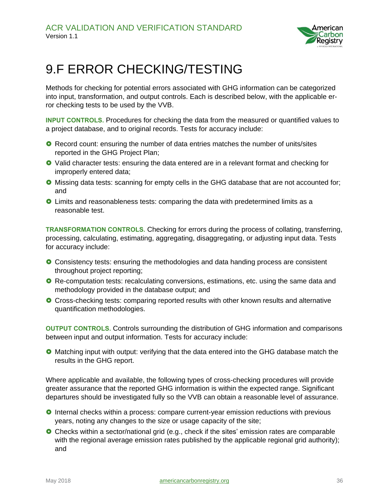

#### <span id="page-35-0"></span>9.F ERROR CHECKING/TESTING

Methods for checking for potential errors associated with GHG information can be categorized into input, transformation, and output controls. Each is described below, with the applicable error checking tests to be used by the VVB.

**INPUT CONTROLS.** Procedures for checking the data from the measured or quantified values to a project database, and to original records. Tests for accuracy include:

- **O** Record count: ensuring the number of data entries matches the number of units/sites reported in the GHG Project Plan;
- Valid character tests: ensuring the data entered are in a relevant format and checking for improperly entered data;
- Missing data tests: scanning for empty cells in the GHG database that are not accounted for; and
- Limits and reasonableness tests: comparing the data with predetermined limits as a reasonable test.

**TRANSFORMATION CONTROLS.** Checking for errors during the process of collating, transferring, processing, calculating, estimating, aggregating, disaggregating, or adjusting input data. Tests for accuracy include:

- **O** Consistency tests: ensuring the methodologies and data handing process are consistent throughout project reporting;
- **O** Re-computation tests: recalculating conversions, estimations, etc. using the same data and methodology provided in the database output; and
- **O** Cross-checking tests: comparing reported results with other known results and alternative quantification methodologies.

**OUTPUT CONTROLS.** Controls surrounding the distribution of GHG information and comparisons between input and output information. Tests for accuracy include:

**O** Matching input with output: verifying that the data entered into the GHG database match the results in the GHG report.

Where applicable and available, the following types of cross-checking procedures will provide greater assurance that the reported GHG information is within the expected range. Significant departures should be investigated fully so the VVB can obtain a reasonable level of assurance.

- **O** Internal checks within a process: compare current-year emission reductions with previous years, noting any changes to the size or usage capacity of the site;
- Checks within a sector/national grid (e.g., check if the sites' emission rates are comparable with the regional average emission rates published by the applicable regional grid authority); and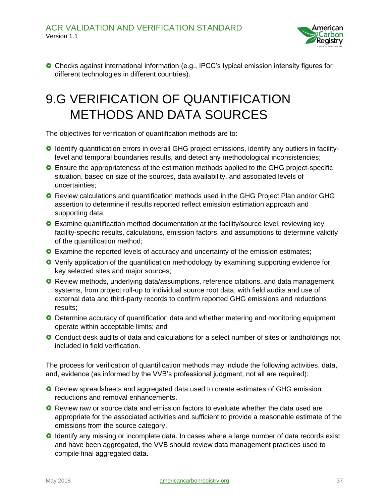

 Checks against international information (e.g., IPCC's typical emission intensity figures for different technologies in different countries).

### <span id="page-36-0"></span>9.G VERIFICATION OF QUANTIFICATION METHODS AND DATA SOURCES

The objectives for verification of quantification methods are to:

- Identify quantification errors in overall GHG project emissions, identify any outliers in facilitylevel and temporal boundaries results, and detect any methodological inconsistencies;
- Ensure the appropriateness of the estimation methods applied to the GHG project-specific situation, based on size of the sources, data availability, and associated levels of uncertainties;
- **O** Review calculations and quantification methods used in the GHG Project Plan and/or GHG assertion to determine if results reported reflect emission estimation approach and supporting data;
- Examine quantification method documentation at the facility/source level, reviewing key facility-specific results, calculations, emission factors, and assumptions to determine validity of the quantification method;
- **O** Examine the reported levels of accuracy and uncertainty of the emission estimates;
- Verify application of the quantification methodology by examining supporting evidence for key selected sites and major sources;
- **O** Review methods, underlying data/assumptions, reference citations, and data management systems, from project roll-up to individual source root data, with field audits and use of external data and third-party records to confirm reported GHG emissions and reductions results;
- **O** Determine accuracy of quantification data and whether metering and monitoring equipment operate within acceptable limits; and
- **O** Conduct desk audits of data and calculations for a select number of sites or landholdings not included in field verification.

The process for verification of quantification methods may include the following activities, data, and, evidence (as informed by the VVB's professional judgment; not all are required):

- Review spreadsheets and aggregated data used to create estimates of GHG emission reductions and removal enhancements.
- **O** Review raw or source data and emission factors to evaluate whether the data used are appropriate for the associated activities and sufficient to provide a reasonable estimate of the emissions from the source category.
- **O** Identify any missing or incomplete data. In cases where a large number of data records exist and have been aggregated, the VVB should review data management practices used to compile final aggregated data.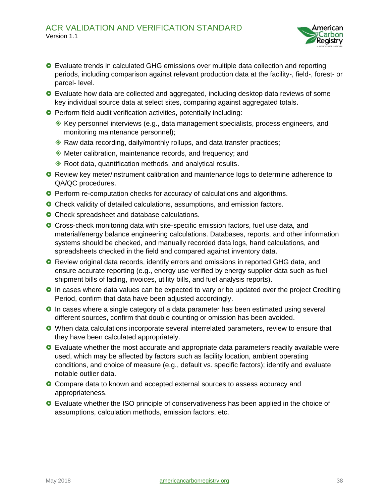

- Evaluate trends in calculated GHG emissions over multiple data collection and reporting periods, including comparison against relevant production data at the facility-, field-, forest- or parcel- level.
- **O** Evaluate how data are collected and aggregated, including desktop data reviews of some key individual source data at select sites, comparing against aggregated totals.
- **O** Perform field audit verification activities, potentially including:
	- $\Diamond$  Key personnel interviews (e.g., data management specialists, process engineers, and monitoring maintenance personnel);
	- ◆ Raw data recording, daily/monthly rollups, and data transfer practices;
	- Meter calibration, maintenance records, and frequency; and
	- ◆ Root data, quantification methods, and analytical results.
- **O** Review key meter/instrument calibration and maintenance logs to determine adherence to QA/QC procedures.
- **O** Perform re-computation checks for accuracy of calculations and algorithms.
- **O** Check validity of detailed calculations, assumptions, and emission factors.
- **O** Check spreadsheet and database calculations.
- Cross-check monitoring data with site-specific emission factors, fuel use data, and material/energy balance engineering calculations. Databases, reports, and other information systems should be checked, and manually recorded data logs, hand calculations, and spreadsheets checked in the field and compared against inventory data.
- **O** Review original data records, identify errors and omissions in reported GHG data, and ensure accurate reporting (e.g., energy use verified by energy supplier data such as fuel shipment bills of lading, invoices, utility bills, and fuel analysis reports).
- **O** In cases where data values can be expected to vary or be updated over the project Crediting Period, confirm that data have been adjusted accordingly.
- **O** In cases where a single category of a data parameter has been estimated using several different sources, confirm that double counting or omission has been avoided.
- When data calculations incorporate several interrelated parameters, review to ensure that they have been calculated appropriately.
- Evaluate whether the most accurate and appropriate data parameters readily available were used, which may be affected by factors such as facility location, ambient operating conditions, and choice of measure (e.g., default vs. specific factors); identify and evaluate notable outlier data.
- **O** Compare data to known and accepted external sources to assess accuracy and appropriateness.
- Evaluate whether the ISO principle of conservativeness has been applied in the choice of assumptions, calculation methods, emission factors, etc.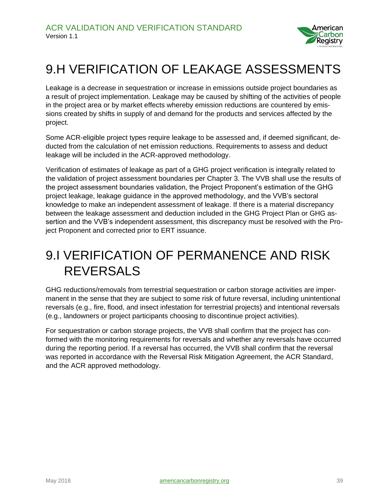

#### <span id="page-38-0"></span>9.H VERIFICATION OF LEAKAGE ASSESSMENTS

Leakage is a decrease in sequestration or increase in emissions outside project boundaries as a result of project implementation. Leakage may be caused by shifting of the activities of people in the project area or by market effects whereby emission reductions are countered by emissions created by shifts in supply of and demand for the products and services affected by the project.

Some ACR-eligible project types require leakage to be assessed and, if deemed significant, deducted from the calculation of net emission reductions. Requirements to assess and deduct leakage will be included in the ACR-approved methodology.

Verification of estimates of leakage as part of a GHG project verification is integrally related to the validation of project assessment boundaries per Chapter 3. The VVB shall use the results of the project assessment boundaries validation, the Project Proponent's estimation of the GHG project leakage, leakage guidance in the approved methodology, and the VVB's sectoral knowledge to make an independent assessment of leakage. If there is a material discrepancy between the leakage assessment and deduction included in the GHG Project Plan or GHG assertion and the VVB's independent assessment, this discrepancy must be resolved with the Project Proponent and corrected prior to ERT issuance.

#### <span id="page-38-1"></span>9.I VERIFICATION OF PERMANENCE AND RISK REVERSALS

GHG reductions/removals from terrestrial sequestration or carbon storage activities are impermanent in the sense that they are subject to some risk of future reversal, including unintentional reversals (e.g., fire, flood, and insect infestation for terrestrial projects) and intentional reversals (e.g., landowners or project participants choosing to discontinue project activities).

For sequestration or carbon storage projects, the VVB shall confirm that the project has conformed with the monitoring requirements for reversals and whether any reversals have occurred during the reporting period. If a reversal has occurred, the VVB shall confirm that the reversal was reported in accordance with the Reversal Risk Mitigation Agreement, the ACR Standard, and the ACR approved methodology.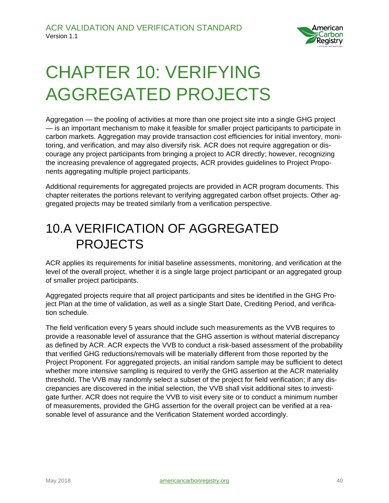

### <span id="page-39-0"></span>CHAPTER 10: VERIFYING AGGREGATED PROJECTS

Aggregation — the pooling of activities at more than one project site into a single GHG project — is an important mechanism to make it feasible for smaller project participants to participate in carbon markets. Aggregation may provide transaction cost efficiencies for initial inventory, monitoring, and verification, and may also diversify risk. ACR does not require aggregation or discourage any project participants from bringing a project to ACR directly; however, recognizing the increasing prevalence of aggregated projects, ACR provides guidelines to Project Proponents aggregating multiple project participants.

Additional requirements for aggregated projects are provided in ACR program documents. This chapter reiterates the portions relevant to verifying aggregated carbon offset projects. Other aggregated projects may be treated similarly from a verification perspective.

#### <span id="page-39-1"></span>10.A VERIFICATION OF AGGREGATED PROJECTS

ACR applies its requirements for initial baseline assessments, monitoring, and verification at the level of the overall project, whether it is a single large project participant or an aggregated group of smaller project participants.

Aggregated projects require that all project participants and sites be identified in the GHG Project Plan at the time of validation, as well as a single Start Date, Crediting Period, and verification schedule.

The field verification every 5 years should include such measurements as the VVB requires to provide a reasonable level of assurance that the GHG assertion is without material discrepancy as defined by ACR. ACR expects the VVB to conduct a risk-based assessment of the probability that verified GHG reductions/removals will be materially different from those reported by the Project Proponent. For aggregated projects, an initial random sample may be sufficient to detect whether more intensive sampling is required to verify the GHG assertion at the ACR materiality threshold. The VVB may randomly select a subset of the project for field verification; if any discrepancies are discovered in the initial selection, the VVB shall visit additional sites to investigate further. ACR does not require the VVB to visit every site or to conduct a minimum number of measurements, provided the GHG assertion for the overall project can be verified at a reasonable level of assurance and the Verification Statement worded accordingly.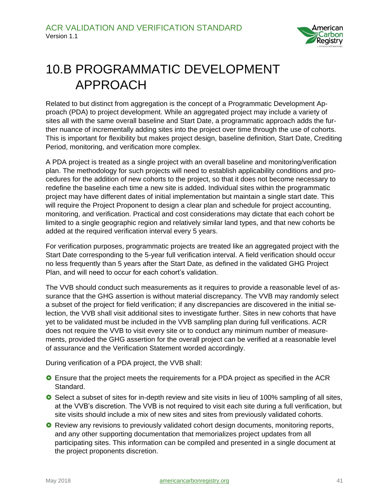

### <span id="page-40-0"></span>10.B PROGRAMMATIC DEVELOPMENT APPROACH

Related to but distinct from aggregation is the concept of a Programmatic Development Approach (PDA) to project development. While an aggregated project may include a variety of sites all with the same overall baseline and Start Date, a programmatic approach adds the further nuance of incrementally adding sites into the project over time through the use of cohorts. This is important for flexibility but makes project design, baseline definition, Start Date, Crediting Period, monitoring, and verification more complex.

A PDA project is treated as a single project with an overall baseline and monitoring/verification plan. The methodology for such projects will need to establish applicability conditions and procedures for the addition of new cohorts to the project, so that it does not become necessary to redefine the baseline each time a new site is added. Individual sites within the programmatic project may have different dates of initial implementation but maintain a single start date. This will require the Project Proponent to design a clear plan and schedule for project accounting, monitoring, and verification. Practical and cost considerations may dictate that each cohort be limited to a single geographic region and relatively similar land types, and that new cohorts be added at the required verification interval every 5 years.

For verification purposes, programmatic projects are treated like an aggregated project with the Start Date corresponding to the 5-year full verification interval. A field verification should occur no less frequently than 5 years after the Start Date, as defined in the validated GHG Project Plan, and will need to occur for each cohort's validation.

The VVB should conduct such measurements as it requires to provide a reasonable level of assurance that the GHG assertion is without material discrepancy. The VVB may randomly select a subset of the project for field verification; if any discrepancies are discovered in the initial selection, the VVB shall visit additional sites to investigate further. Sites in new cohorts that have yet to be validated must be included in the VVB sampling plan during full verifications. ACR does not require the VVB to visit every site or to conduct any minimum number of measurements, provided the GHG assertion for the overall project can be verified at a reasonable level of assurance and the Verification Statement worded accordingly.

During verification of a PDA project, the VVB shall:

- Ensure that the project meets the requirements for a PDA project as specified in the ACR Standard.
- **O** Select a subset of sites for in-depth review and site visits in lieu of 100% sampling of all sites, at the VVB's discretion. The VVB is not required to visit each site during a full verification, but site visits should include a mix of new sites and sites from previously validated cohorts.
- **O** Review any revisions to previously validated cohort design documents, monitoring reports, and any other supporting documentation that memorializes project updates from all participating sites. This information can be compiled and presented in a single document at the project proponents discretion.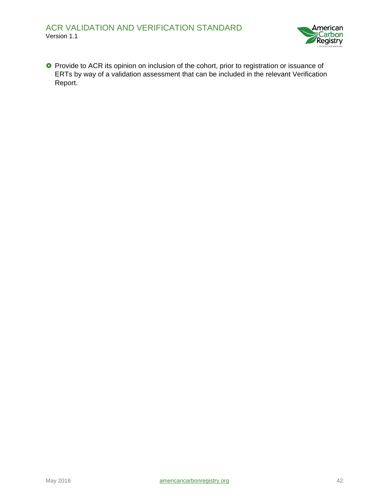

**O** Provide to ACR its opinion on inclusion of the cohort, prior to registration or issuance of ERTs by way of a validation assessment that can be included in the relevant Verification Report.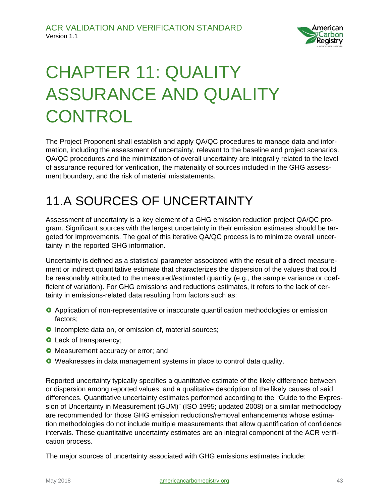

### <span id="page-42-0"></span>CHAPTER 11: QUALITY ASSURANCE AND QUALITY **CONTROL**

The Project Proponent shall establish and apply QA/QC procedures to manage data and information, including the assessment of uncertainty, relevant to the baseline and project scenarios. QA/QC procedures and the minimization of overall uncertainty are integrally related to the level of assurance required for verification, the materiality of sources included in the GHG assessment boundary, and the risk of material misstatements.

### <span id="page-42-1"></span>11.A SOURCES OF UNCERTAINTY

Assessment of uncertainty is a key element of a GHG emission reduction project QA/QC program. Significant sources with the largest uncertainty in their emission estimates should be targeted for improvements. The goal of this iterative QA/QC process is to minimize overall uncertainty in the reported GHG information.

Uncertainty is defined as a statistical parameter associated with the result of a direct measurement or indirect quantitative estimate that characterizes the dispersion of the values that could be reasonably attributed to the measured/estimated quantity (e.g., the sample variance or coefficient of variation). For GHG emissions and reductions estimates, it refers to the lack of certainty in emissions-related data resulting from factors such as:

- **O** Application of non-representative or inaccurate quantification methodologies or emission factors;
- **O** Incomplete data on, or omission of, material sources;
- **O** Lack of transparency;
- **O** Measurement accuracy or error; and
- Weaknesses in data management systems in place to control data quality.

Reported uncertainty typically specifies a quantitative estimate of the likely difference between or dispersion among reported values, and a qualitative description of the likely causes of said differences. Quantitative uncertainty estimates performed according to the "Guide to the Expression of Uncertainty in Measurement (GUM)" (ISO 1995; updated 2008) or a similar methodology are recommended for those GHG emission reductions/removal enhancements whose estimation methodologies do not include multiple measurements that allow quantification of confidence intervals. These quantitative uncertainty estimates are an integral component of the ACR verification process.

The major sources of uncertainty associated with GHG emissions estimates include: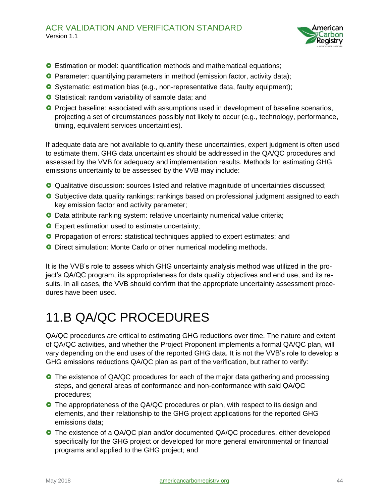

- **O** Estimation or model: quantification methods and mathematical equations;
- Parameter: quantifying parameters in method (emission factor, activity data);
- **O** Systematic: estimation bias (e.g., non-representative data, faulty equipment);
- **O** Statistical: random variability of sample data; and
- **O** Project baseline: associated with assumptions used in development of baseline scenarios, projecting a set of circumstances possibly not likely to occur (e.g., technology, performance, timing, equivalent services uncertainties).

If adequate data are not available to quantify these uncertainties, expert judgment is often used to estimate them. GHG data uncertainties should be addressed in the QA/QC procedures and assessed by the VVB for adequacy and implementation results. Methods for estimating GHG emissions uncertainty to be assessed by the VVB may include:

- Qualitative discussion: sources listed and relative magnitude of uncertainties discussed;
- **O** Subjective data quality rankings: rankings based on professional judgment assigned to each key emission factor and activity parameter;
- **O** Data attribute ranking system: relative uncertainty numerical value criteria;
- **O** Expert estimation used to estimate uncertainty;
- **O** Propagation of errors: statistical techniques applied to expert estimates; and
- **O** Direct simulation: Monte Carlo or other numerical modeling methods.

It is the VVB's role to assess which GHG uncertainty analysis method was utilized in the project's QA/QC program, its appropriateness for data quality objectives and end use, and its results. In all cases, the VVB should confirm that the appropriate uncertainty assessment procedures have been used.

### <span id="page-43-0"></span>11.B QA/QC PROCEDURES

QA/QC procedures are critical to estimating GHG reductions over time. The nature and extent of QA/QC activities, and whether the Project Proponent implements a formal QA/QC plan, will vary depending on the end uses of the reported GHG data. It is not the VVB's role to develop a GHG emissions reductions QA/QC plan as part of the verification, but rather to verify:

- **O** The existence of QA/QC procedures for each of the major data gathering and processing steps, and general areas of conformance and non-conformance with said QA/QC procedures;
- **O** The appropriateness of the QA/QC procedures or plan, with respect to its design and elements, and their relationship to the GHG project applications for the reported GHG emissions data;
- The existence of a QA/QC plan and/or documented QA/QC procedures, either developed specifically for the GHG project or developed for more general environmental or financial programs and applied to the GHG project; and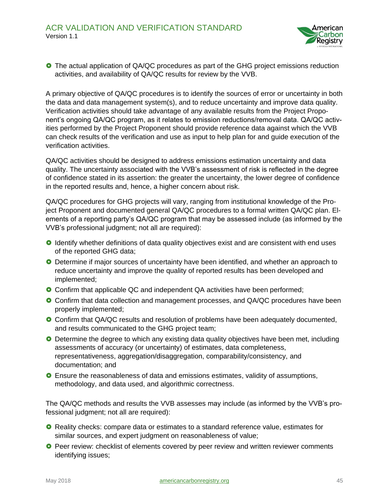

**O** The actual application of QA/QC procedures as part of the GHG project emissions reduction activities, and availability of QA/QC results for review by the VVB.

A primary objective of QA/QC procedures is to identify the sources of error or uncertainty in both the data and data management system(s), and to reduce uncertainty and improve data quality. Verification activities should take advantage of any available results from the Project Proponent's ongoing QA/QC program, as it relates to emission reductions/removal data. QA/QC activities performed by the Project Proponent should provide reference data against which the VVB can check results of the verification and use as input to help plan for and guide execution of the verification activities.

QA/QC activities should be designed to address emissions estimation uncertainty and data quality. The uncertainty associated with the VVB's assessment of risk is reflected in the degree of confidence stated in its assertion: the greater the uncertainty, the lower degree of confidence in the reported results and, hence, a higher concern about risk.

QA/QC procedures for GHG projects will vary, ranging from institutional knowledge of the Project Proponent and documented general QA/QC procedures to a formal written QA/QC plan. Elements of a reporting party's QA/QC program that may be assessed include (as informed by the VVB's professional judgment; not all are required):

- **O** Identify whether definitions of data quality objectives exist and are consistent with end uses of the reported GHG data;
- **O** Determine if major sources of uncertainty have been identified, and whether an approach to reduce uncertainty and improve the quality of reported results has been developed and implemented;
- **O** Confirm that applicable QC and independent QA activities have been performed;
- **O** Confirm that data collection and management processes, and QA/QC procedures have been properly implemented;
- **O** Confirm that QA/QC results and resolution of problems have been adequately documented, and results communicated to the GHG project team;
- **O** Determine the degree to which any existing data quality objectives have been met, including assessments of accuracy (or uncertainty) of estimates, data completeness, representativeness, aggregation/disaggregation, comparability/consistency, and documentation; and
- Ensure the reasonableness of data and emissions estimates, validity of assumptions, methodology, and data used, and algorithmic correctness.

The QA/QC methods and results the VVB assesses may include (as informed by the VVB's professional judgment; not all are required):

- **O** Reality checks: compare data or estimates to a standard reference value, estimates for similar sources, and expert judgment on reasonableness of value;
- **O** Peer review: checklist of elements covered by peer review and written reviewer comments identifying issues;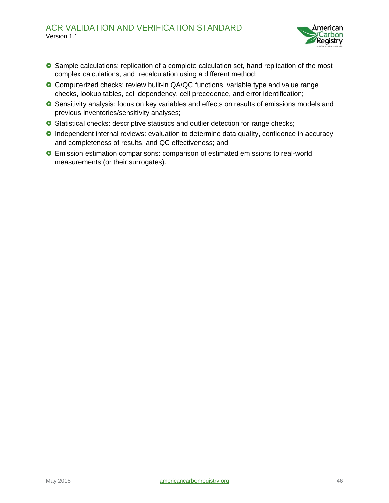

- **O** Sample calculations: replication of a complete calculation set, hand replication of the most complex calculations, and recalculation using a different method;
- Computerized checks: review built-in QA/QC functions, variable type and value range checks, lookup tables, cell dependency, cell precedence, and error identification;
- **O** Sensitivity analysis: focus on key variables and effects on results of emissions models and previous inventories/sensitivity analyses;
- **O** Statistical checks: descriptive statistics and outlier detection for range checks;
- **O** Independent internal reviews: evaluation to determine data quality, confidence in accuracy and completeness of results, and QC effectiveness; and
- Emission estimation comparisons: comparison of estimated emissions to real-world measurements (or their surrogates).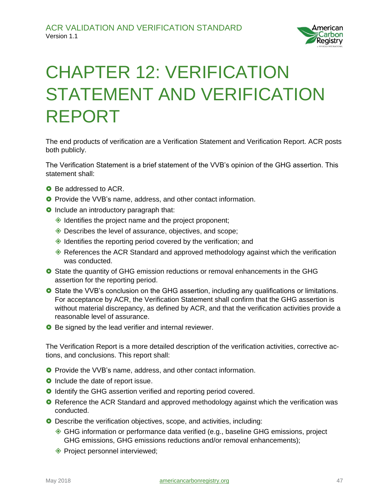

### <span id="page-46-0"></span>CHAPTER 12: VERIFICATION STATEMENT AND VERIFICATION REPORT

The end products of verification are a Verification Statement and Verification Report. ACR posts both publicly.

The Verification Statement is a brief statement of the VVB's opinion of the GHG assertion. This statement shall:

- **C** Be addressed to ACR.
- **O** Provide the VVB's name, address, and other contact information.
- **O** Include an introductory paragraph that:
	- $\Diamond$  Identifies the project name and the project proponent;
	- ◆ Describes the level of assurance, objectives, and scope;
	- $\triangleleft$  Identifies the reporting period covered by the verification; and
	- $\Diamond$  References the ACR Standard and approved methodology against which the verification was conducted.
- **O** State the quantity of GHG emission reductions or removal enhancements in the GHG assertion for the reporting period.
- **O** State the VVB's conclusion on the GHG assertion, including any qualifications or limitations. For acceptance by ACR, the Verification Statement shall confirm that the GHG assertion is without material discrepancy, as defined by ACR, and that the verification activities provide a reasonable level of assurance.
- **O** Be signed by the lead verifier and internal reviewer.

The Verification Report is a more detailed description of the verification activities, corrective actions, and conclusions. This report shall:

- **O** Provide the VVB's name, address, and other contact information.
- **O** Include the date of report issue.
- **O** Identify the GHG assertion verified and reporting period covered.
- **O** Reference the ACR Standard and approved methodology against which the verification was conducted.
- **O** Describe the verification objectives, scope, and activities, including:
	- GHG information or performance data verified (e.g., baseline GHG emissions, project GHG emissions, GHG emissions reductions and/or removal enhancements);
	- ◆ Project personnel interviewed;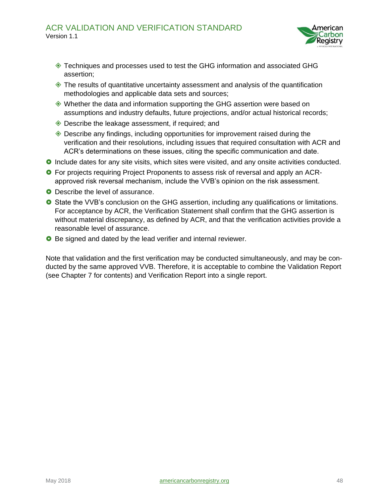

- Techniques and processes used to test the GHG information and associated GHG assertion;
- $\Diamond$  The results of quantitative uncertainty assessment and analysis of the quantification methodologies and applicable data sets and sources;
- Whether the data and information supporting the GHG assertion were based on assumptions and industry defaults, future projections, and/or actual historical records;
- ◆ Describe the leakage assessment, if required; and
- $\Diamond$  Describe any findings, including opportunities for improvement raised during the verification and their resolutions, including issues that required consultation with ACR and ACR's determinations on these issues, citing the specific communication and date.
- **O** Include dates for any site visits, which sites were visited, and any onsite activities conducted.
- **O** For projects requiring Project Proponents to assess risk of reversal and apply an ACRapproved risk reversal mechanism, include the VVB's opinion on the risk assessment.
- **O** Describe the level of assurance.
- **O** State the VVB's conclusion on the GHG assertion, including any qualifications or limitations. For acceptance by ACR, the Verification Statement shall confirm that the GHG assertion is without material discrepancy, as defined by ACR, and that the verification activities provide a reasonable level of assurance.
- **O** Be signed and dated by the lead verifier and internal reviewer.

Note that validation and the first verification may be conducted simultaneously, and may be conducted by the same approved VVB. Therefore, it is acceptable to combine the Validation Report (see Chapter 7 for contents) and Verification Report into a single report.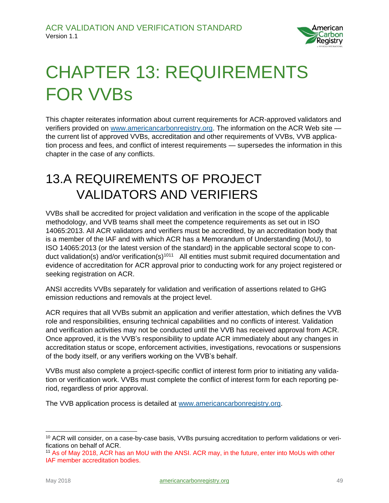

# <span id="page-48-0"></span>CHAPTER 13: REQUIREMENTS FOR VVBs

This chapter reiterates information about current requirements for ACR-approved validators and verifiers provided on [www.americancarbonregistry.org.](https://winrockintl-my.sharepoint.com/personal/rori_cowan_winrock_org/Documents/Standards/Val%20Ver%20Guideline/www.americancarbonregistry.org) The information on the ACR Web site the current list of approved VVBs, accreditation and other requirements of VVBs, VVB application process and fees, and conflict of interest requirements — supersedes the information in this chapter in the case of any conflicts.

#### <span id="page-48-1"></span>13.A REQUIREMENTS OF PROJECT VALIDATORS AND VERIFIERS

VVBs shall be accredited for project validation and verification in the scope of the applicable methodology, and VVB teams shall meet the competence requirements as set out in ISO 14065:2013. All ACR validators and verifiers must be accredited, by an accreditation body that is a member of the IAF and with which ACR has a Memorandum of Understanding (MoU), to ISO 14065:2013 (or the latest version of the standard) in the applicable sectoral scope to conduct validation(s) and/or verification(s)<sup>1011</sup> All entities must submit required documentation and evidence of accreditation for ACR approval prior to conducting work for any project registered or seeking registration on ACR.

ANSI accredits VVBs separately for validation and verification of assertions related to GHG emission reductions and removals at the project level.

ACR requires that all VVBs submit an application and verifier attestation, which defines the VVB role and responsibilities, ensuring technical capabilities and no conflicts of interest. Validation and verification activities may not be conducted until the VVB has received approval from ACR. Once approved, it is the VVB's responsibility to update ACR immediately about any changes in accreditation status or scope, enforcement activities, investigations, revocations or suspensions of the body itself, or any verifiers working on the VVB's behalf.

VVBs must also complete a project-specific conflict of interest form prior to initiating any validation or verification work. VVBs must complete the conflict of interest form for each reporting period, regardless of prior approval.

The VVB application process is detailed at [www.americancarbonregistry.org.](http://www.americancarbonregistry.org/)

 $\overline{a}$ 

<sup>&</sup>lt;sup>10</sup> ACR will consider, on a case-by-case basis, VVBs pursuing accreditation to perform validations or verifications on behalf of ACR.

<sup>11</sup> As of May 2018, ACR has an MoU with the ANSI. ACR may, in the future, enter into MoUs with other IAF member accreditation bodies.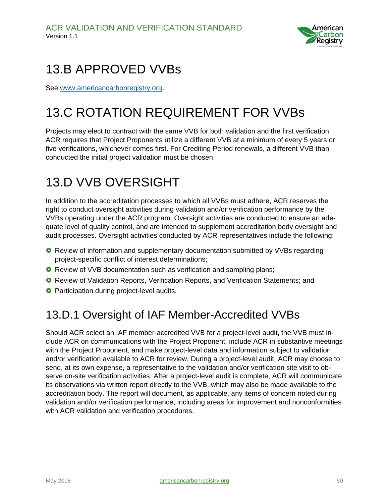

### <span id="page-49-0"></span>13.B APPROVED VVBs

See [www.americancarbonregistry.org.](http://www.americancarbonregistry.org/)

### <span id="page-49-1"></span>13.C ROTATION REQUIREMENT FOR VVBs

Projects may elect to contract with the same VVB for both validation and the first verification. ACR requires that Project Proponents utilize a different VVB at a minimum of every 5 years or five verifications, whichever comes first. For Crediting Period renewals, a different VVB than conducted the initial project validation must be chosen.

#### <span id="page-49-2"></span>13.D VVB OVERSIGHT

In addition to the accreditation processes to which all VVBs must adhere, ACR reserves the right to conduct oversight activities during validation and/or verification performance by the VVBs operating under the ACR program. Oversight activities are conducted to ensure an adequate level of quality control, and are intended to supplement accreditation body oversight and audit processes. Oversight activities conducted by ACR representatives include the following:

- **O** Review of information and supplementary documentation submitted by VVBs regarding project-specific conflict of interest determinations;
- **O** Review of VVB documentation such as verification and sampling plans;
- **O** Review of Validation Reports, Verification Reports, and Verification Statements; and
- **O** Participation during project-level audits.

#### <span id="page-49-3"></span>13.D.1 Oversight of IAF Member-Accredited VVBs

Should ACR select an IAF member-accredited VVB for a project-level audit, the VVB must include ACR on communications with the Project Proponent, include ACR in substantive meetings with the Project Proponent, and make project-level data and information subject to validation and/or verification available to ACR for review. During a project-level audit, ACR may choose to send, at its own expense, a representative to the validation and/or verification site visit to observe on-site verification activities. After a project-level audit is complete, ACR will communicate its observations via written report directly to the VVB, which may also be made available to the accreditation body. The report will document, as applicable, any items of concern noted during validation and/or verification performance, including areas for improvement and nonconformities with ACR validation and verification procedures.